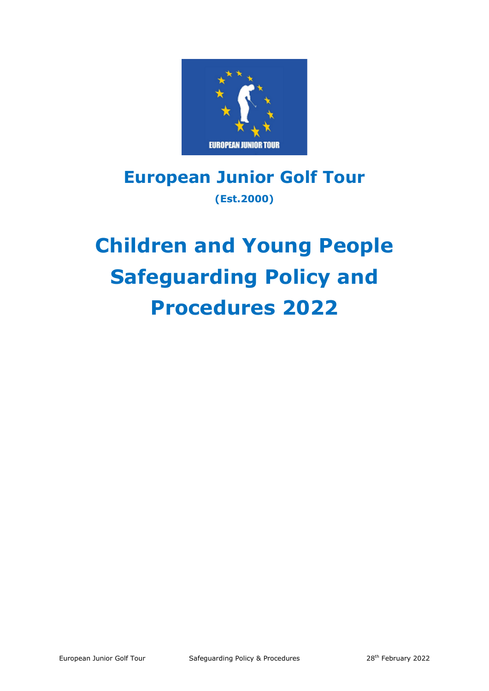

# **European Junior Golf Tour (Est.2000)**

# **Children and Young People Safeguarding Policy and Procedures 2022**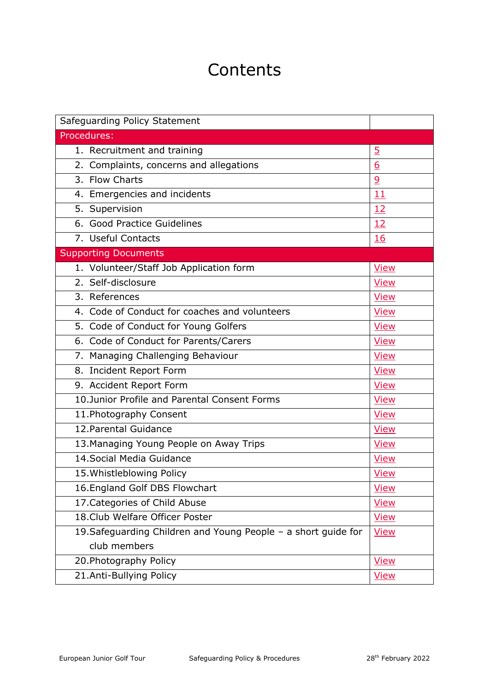# **Contents**

| Safeguarding Policy Statement                                  |                |
|----------------------------------------------------------------|----------------|
| Procedures:                                                    |                |
| 1. Recruitment and training                                    | $\overline{5}$ |
| 2. Complaints, concerns and allegations                        | 6              |
| 3. Flow Charts                                                 | $\overline{9}$ |
| 4. Emergencies and incidents                                   | 11             |
| 5. Supervision                                                 | 12             |
| 6. Good Practice Guidelines                                    | 12             |
| 7. Useful Contacts                                             | 16             |
| <b>Supporting Documents</b>                                    |                |
| 1. Volunteer/Staff Job Application form                        | <b>View</b>    |
| 2. Self-disclosure                                             | <b>View</b>    |
| $\overline{3}$ . References                                    | <b>View</b>    |
| 4. Code of Conduct for coaches and volunteers                  | <b>View</b>    |
| 5. Code of Conduct for Young Golfers                           | <b>View</b>    |
| 6. Code of Conduct for Parents/Carers                          | <b>View</b>    |
| 7. Managing Challenging Behaviour                              | <b>View</b>    |
| 8. Incident Report Form                                        | <b>View</b>    |
| 9. Accident Report Form                                        | <b>View</b>    |
| 10. Junior Profile and Parental Consent Forms                  | <b>View</b>    |
| 11. Photography Consent                                        | <b>View</b>    |
| 12. Parental Guidance                                          | <b>View</b>    |
| 13. Managing Young People on Away Trips                        | <b>View</b>    |
| 14. Social Media Guidance                                      | <b>View</b>    |
| 15. Whistleblowing Policy                                      | <b>View</b>    |
| 16. England Golf DBS Flowchart                                 | <b>View</b>    |
| 17. Categories of Child Abuse                                  | <b>View</b>    |
| 18. Club Welfare Officer Poster                                | <b>View</b>    |
| 19. Safeguarding Children and Young People - a short guide for | <b>View</b>    |
| club members                                                   |                |
| 20. Photography Policy                                         | <b>View</b>    |
| 21.Anti-Bullying Policy                                        | <u>View</u>    |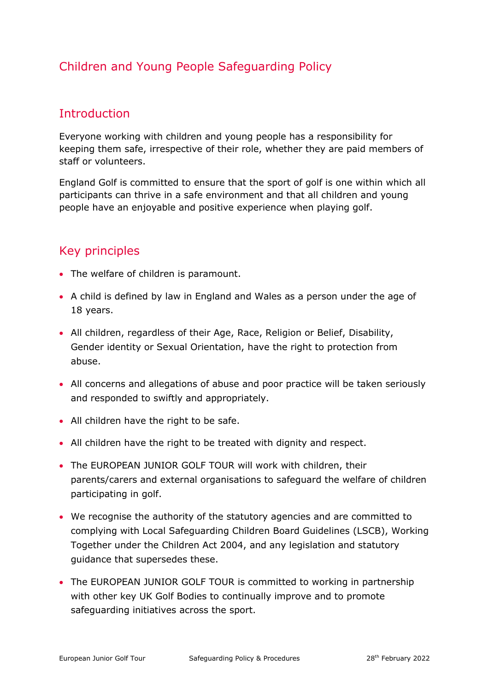### Children and Young People Safeguarding Policy

### **Introduction**

Everyone working with children and young people has a responsibility for keeping them safe, irrespective of their role, whether they are paid members of staff or volunteers.

England Golf is committed to ensure that the sport of golf is one within which all participants can thrive in a safe environment and that all children and young people have an enjoyable and positive experience when playing golf.

### Key principles

- The welfare of children is paramount.
- A child is defined by law in England and Wales as a person under the age of 18 years.
- All children, regardless of their Age, Race, Religion or Belief, Disability, Gender identity or Sexual Orientation, have the right to protection from abuse.
- All concerns and allegations of abuse and poor practice will be taken seriously and responded to swiftly and appropriately.
- All children have the right to be safe.
- All children have the right to be treated with dignity and respect.
- The EUROPEAN JUNIOR GOLF TOUR will work with children, their parents/carers and external organisations to safeguard the welfare of children participating in golf.
- We recognise the authority of the statutory agencies and are committed to complying with Local Safeguarding Children Board Guidelines (LSCB), Working Together under the Children Act 2004, and any legislation and statutory guidance that supersedes these.
- The EUROPEAN JUNIOR GOLF TOUR is committed to working in partnership with other key UK Golf Bodies to continually improve and to promote safeguarding initiatives across the sport.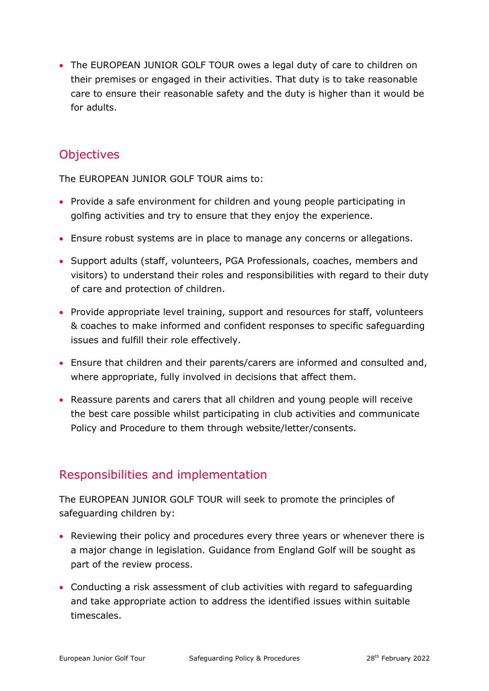• The EUROPEAN JUNIOR GOLF TOUR owes a legal duty of care to children on their premises or engaged in their activities. That duty is to take reasonable care to ensure their reasonable safety and the duty is higher than it would be for adults.

### **Objectives**

The EUROPEAN JUNIOR GOLF TOUR aims to:

- Provide a safe environment for children and young people participating in golfing activities and try to ensure that they enjoy the experience.
- Ensure robust systems are in place to manage any concerns or allegations.
- Support adults (staff, volunteers, PGA Professionals, coaches, members and visitors) to understand their roles and responsibilities with regard to their duty of care and protection of children.
- Provide appropriate level training, support and resources for staff, volunteers & coaches to make informed and confident responses to specific safeguarding issues and fulfill their role effectively.
- Ensure that children and their parents/carers are informed and consulted and, where appropriate, fully involved in decisions that affect them.
- Reassure parents and carers that all children and young people will receive the best care possible whilst participating in club activities and communicate Policy and Procedure to them through website/letter/consents.

### Responsibilities and implementation

The EUROPEAN JUNIOR GOLF TOUR will seek to promote the principles of safeguarding children by:

- Reviewing their policy and procedures every three years or whenever there is a major change in legislation. Guidance from England Golf will be sought as part of the review process.
- Conducting a risk assessment of club activities with regard to safeguarding and take appropriate action to address the identified issues within suitable timescales.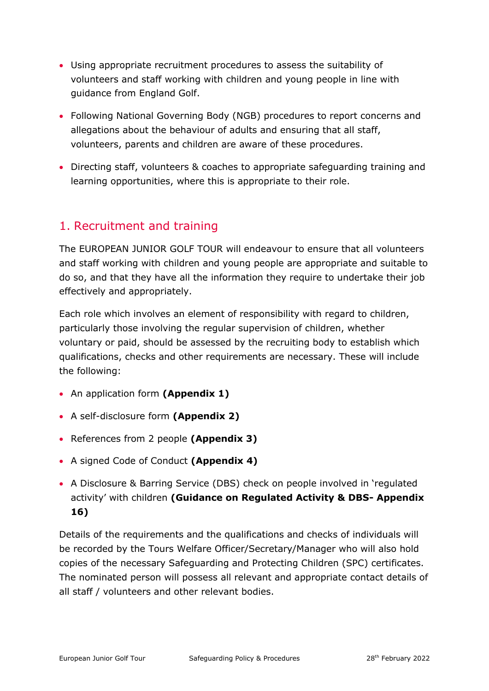- Using appropriate recruitment procedures to assess the suitability of volunteers and staff working with children and young people in line with guidance from England Golf.
- Following National Governing Body (NGB) procedures to report concerns and allegations about the behaviour of adults and ensuring that all staff, volunteers, parents and children are aware of these procedures.
- Directing staff, volunteers & coaches to appropriate safeguarding training and learning opportunities, where this is appropriate to their role.

### <span id="page-4-0"></span>1. Recruitment and training

The EUROPEAN JUNIOR GOLF TOUR will endeavour to ensure that all volunteers and staff working with children and young people are appropriate and suitable to do so, and that they have all the information they require to undertake their job effectively and appropriately.

Each role which involves an element of responsibility with regard to children, particularly those involving the regular supervision of children, whether voluntary or paid, should be assessed by the recruiting body to establish which qualifications, checks and other requirements are necessary. These will include the following:

- An application form **(Appendix 1)**
- A self-disclosure form **(Appendix 2)**
- References from 2 people **(Appendix 3)**
- A signed Code of Conduct **(Appendix 4)**
- A Disclosure & Barring Service (DBS) check on people involved in 'regulated activity' with children **(Guidance on Regulated Activity & DBS- Appendix 16)**

Details of the requirements and the qualifications and checks of individuals will be recorded by the Tours Welfare Officer/Secretary/Manager who will also hold copies of the necessary Safeguarding and Protecting Children (SPC) certificates. The nominated person will possess all relevant and appropriate contact details of all staff / volunteers and other relevant bodies.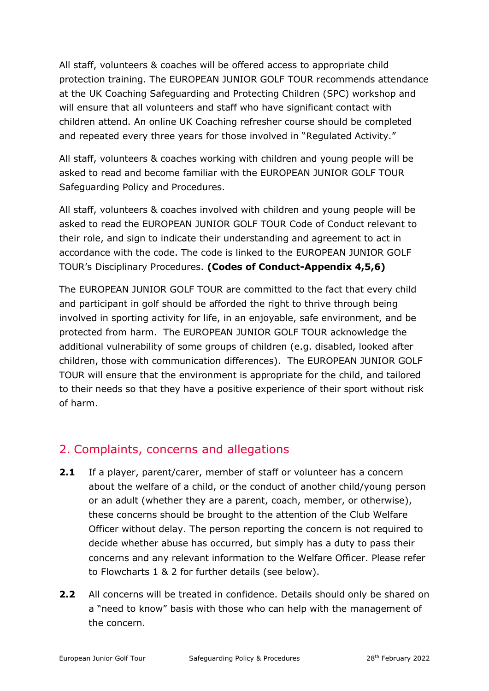All staff, volunteers & coaches will be offered access to appropriate child protection training. The EUROPEAN JUNIOR GOLF TOUR recommends attendance at the UK Coaching Safeguarding and Protecting Children (SPC) workshop and will ensure that all volunteers and staff who have significant contact with children attend. An online UK Coaching refresher course should be completed and repeated every three years for those involved in "Regulated Activity."

All staff, volunteers & coaches working with children and young people will be asked to read and become familiar with the EUROPEAN JUNIOR GOLF TOUR Safeguarding Policy and Procedures.

All staff, volunteers & coaches involved with children and young people will be asked to read the EUROPEAN JUNIOR GOLF TOUR Code of Conduct relevant to their role, and sign to indicate their understanding and agreement to act in accordance with the code. The code is linked to the EUROPEAN JUNIOR GOLF TOUR's Disciplinary Procedures. **(Codes of Conduct-Appendix 4,5,6)**

The EUROPEAN JUNIOR GOLF TOUR are committed to the fact that every child and participant in golf should be afforded the right to thrive through being involved in sporting activity for life, in an enjoyable, safe environment, and be protected from harm. The EUROPEAN JUNIOR GOLF TOUR acknowledge the additional vulnerability of some groups of children (e.g. disabled, looked after children, those with communication differences). The EUROPEAN JUNIOR GOLF TOUR will ensure that the environment is appropriate for the child, and tailored to their needs so that they have a positive experience of their sport without risk of harm.

### <span id="page-5-0"></span>2. Complaints, concerns and allegations

- **2.1** If a player, parent/carer, member of staff or volunteer has a concern about the welfare of a child, or the conduct of another child/young person or an adult (whether they are a parent, coach, member, or otherwise), these concerns should be brought to the attention of the Club Welfare Officer without delay. The person reporting the concern is not required to decide whether abuse has occurred, but simply has a duty to pass their concerns and any relevant information to the Welfare Officer. Please refer to Flowcharts 1 & 2 for further details (see below).
- **2.2** All concerns will be treated in confidence. Details should only be shared on a "need to know" basis with those who can help with the management of the concern.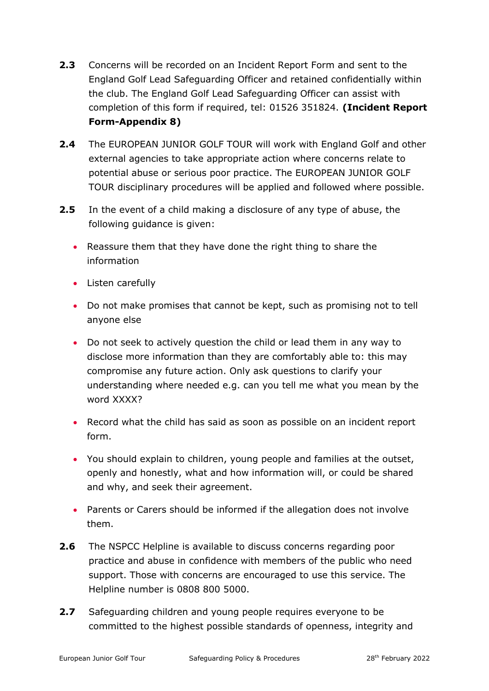- **2.3** Concerns will be recorded on an Incident Report Form and sent to the England Golf Lead Safeguarding Officer and retained confidentially within the club. The England Golf Lead Safeguarding Officer can assist with completion of this form if required, tel: 01526 351824. **(Incident Report Form-Appendix 8)**
- **2.4** The EUROPEAN JUNIOR GOLF TOUR will work with England Golf and other external agencies to take appropriate action where concerns relate to potential abuse or serious poor practice. The EUROPEAN JUNIOR GOLF TOUR disciplinary procedures will be applied and followed where possible.
- **2.5** In the event of a child making a disclosure of any type of abuse, the following guidance is given:
	- Reassure them that they have done the right thing to share the information
	- Listen carefully
	- Do not make promises that cannot be kept, such as promising not to tell anyone else
	- Do not seek to actively question the child or lead them in any way to disclose more information than they are comfortably able to: this may compromise any future action. Only ask questions to clarify your understanding where needed e.g. can you tell me what you mean by the word XXXX?
	- Record what the child has said as soon as possible on an incident report form.
	- You should explain to children, young people and families at the outset, openly and honestly, what and how information will, or could be shared and why, and seek their agreement.
	- Parents or Carers should be informed if the allegation does not involve them.
- **2.6** The NSPCC Helpline is available to discuss concerns regarding poor practice and abuse in confidence with members of the public who need support. Those with concerns are encouraged to use this service. The Helpline number is 0808 800 5000.
- **2.7** Safeguarding children and young people requires everyone to be committed to the highest possible standards of openness, integrity and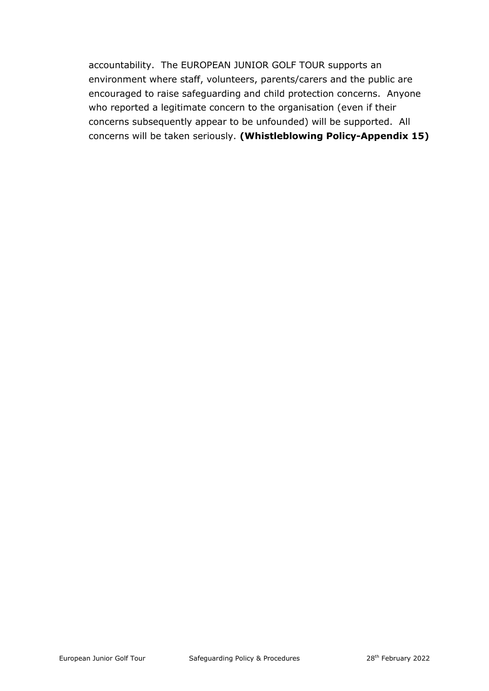<span id="page-7-0"></span>accountability. The EUROPEAN JUNIOR GOLF TOUR supports an environment where staff, volunteers, parents/carers and the public are encouraged to raise safeguarding and child protection concerns. Anyone who reported a legitimate concern to the organisation (even if their concerns subsequently appear to be unfounded) will be supported. All concerns will be taken seriously. **(Whistleblowing Policy-Appendix 15)**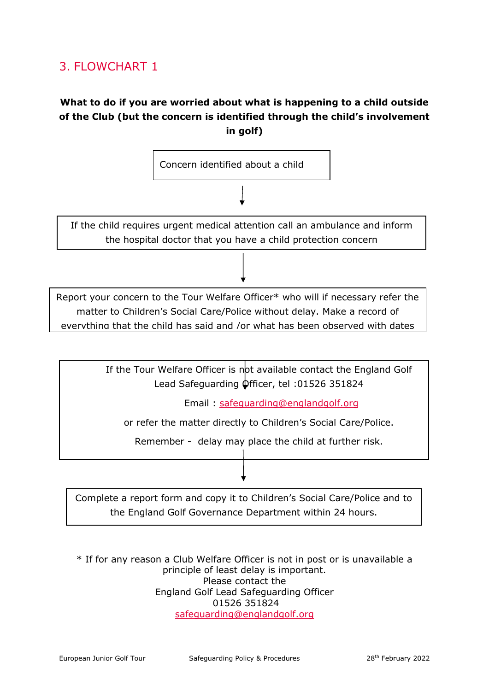### 3. FLOWCHART 1

### **What to do if you are worried about what is happening to a child outside of the Club (but the concern is identified through the child's involvement in golf)**



If the child requires urgent medical attention call an ambulance and inform the hospital doctor that you have a child protection concern

Report your concern to the Tour Welfare Officer\* who will if necessary refer the matter to Children's Social Care/Police without delay. Make a record of everything that the child has said and /or what has been observed with dates

> If the Tour Welfare Officer is not available contact the England Golf Lead Safeguarding Officer, tel :01526 351824

> > Email : [safeguarding@englandgolf.org](mailto:safeguarding@englandgolf.org)

or refer the matter directly to Children's Social Care/Police.

Remember - delay may place the child at further risk.

Complete a report form and copy it to Children's Social Care/Police and to the England Golf Governance Department within 24 hours.

\* If for any reason a Club Welfare Officer is not in post or is unavailable a principle of least delay is important. Please contact the England Golf Lead Safeguarding Officer 01526 351824 [safeguarding@englandgolf.org](mailto:safeguarding@englandgolf.org)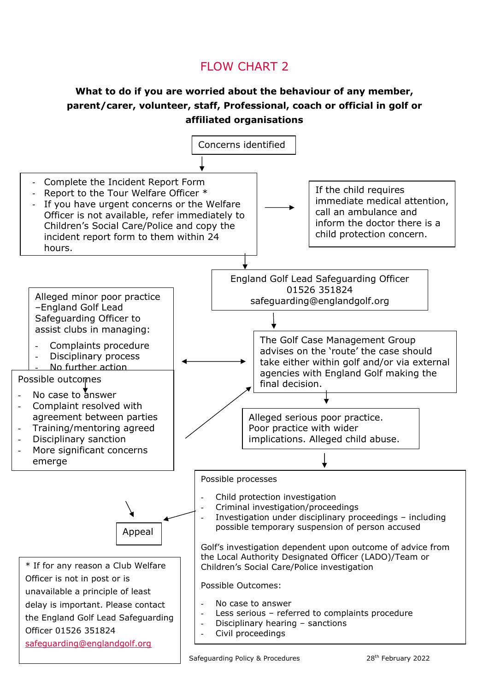### FLOW CHART 2

#### **What to do if you are worried about the behaviour of any member, parent/carer, volunteer, staff, Professional, coach or official in golf or affiliated organisations**

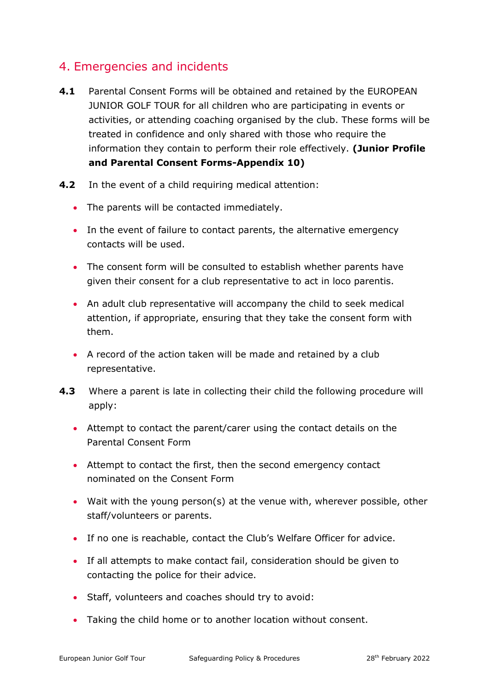### <span id="page-10-0"></span>4. Emergencies and incidents

- **4.1** Parental Consent Forms will be obtained and retained by the EUROPEAN JUNIOR GOLF TOUR for all children who are participating in events or activities, or attending coaching organised by the club. These forms will be treated in confidence and only shared with those who require the information they contain to perform their role effectively. **(Junior Profile and Parental Consent Forms-Appendix 10)**
- **4.2** In the event of a child requiring medical attention:
	- The parents will be contacted immediately.
	- In the event of failure to contact parents, the alternative emergency contacts will be used.
	- The consent form will be consulted to establish whether parents have given their consent for a club representative to act in loco parentis.
	- An adult club representative will accompany the child to seek medical attention, if appropriate, ensuring that they take the consent form with them.
	- A record of the action taken will be made and retained by a club representative.
- **4.3** Where a parent is late in collecting their child the following procedure will apply:
	- Attempt to contact the parent/carer using the contact details on the Parental Consent Form
	- Attempt to contact the first, then the second emergency contact nominated on the Consent Form
	- Wait with the young person(s) at the venue with, wherever possible, other staff/volunteers or parents.
	- If no one is reachable, contact the Club's Welfare Officer for advice.
	- If all attempts to make contact fail, consideration should be given to contacting the police for their advice.
	- Staff, volunteers and coaches should try to avoid:
	- Taking the child home or to another location without consent.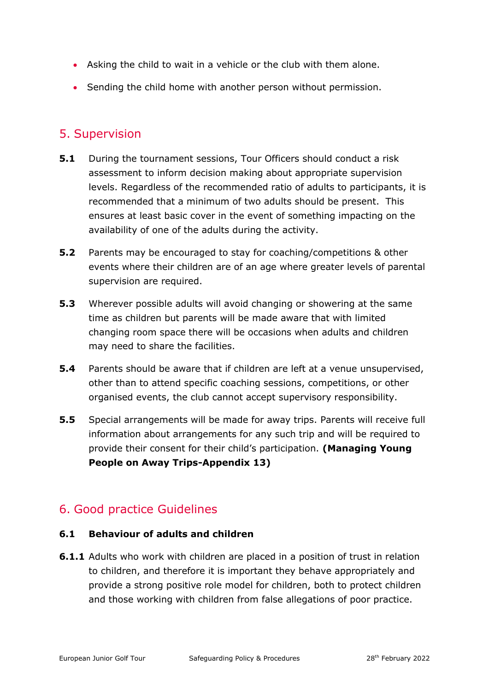- Asking the child to wait in a vehicle or the club with them alone.
- Sending the child home with another person without permission.

### <span id="page-11-0"></span>5. Supervision

- **5.1** During the tournament sessions, Tour Officers should conduct a risk assessment to inform decision making about appropriate supervision levels. Regardless of the recommended ratio of adults to participants, it is recommended that a minimum of two adults should be present. This ensures at least basic cover in the event of something impacting on the availability of one of the adults during the activity.
- **5.2** Parents may be encouraged to stay for coaching/competitions & other events where their children are of an age where greater levels of parental supervision are required.
- **5.3** Wherever possible adults will avoid changing or showering at the same time as children but parents will be made aware that with limited changing room space there will be occasions when adults and children may need to share the facilities.
- **5.4** Parents should be aware that if children are left at a venue unsupervised, other than to attend specific coaching sessions, competitions, or other organised events, the club cannot accept supervisory responsibility.
- **5.5** Special arrangements will be made for away trips. Parents will receive full information about arrangements for any such trip and will be required to provide their consent for their child's participation. **(Managing Young People on Away Trips-Appendix 13)**

### <span id="page-11-1"></span>6. Good practice Guidelines

#### **6.1 Behaviour of adults and children**

**6.1.1** Adults who work with children are placed in a position of trust in relation to children, and therefore it is important they behave appropriately and provide a strong positive role model for children, both to protect children and those working with children from false allegations of poor practice.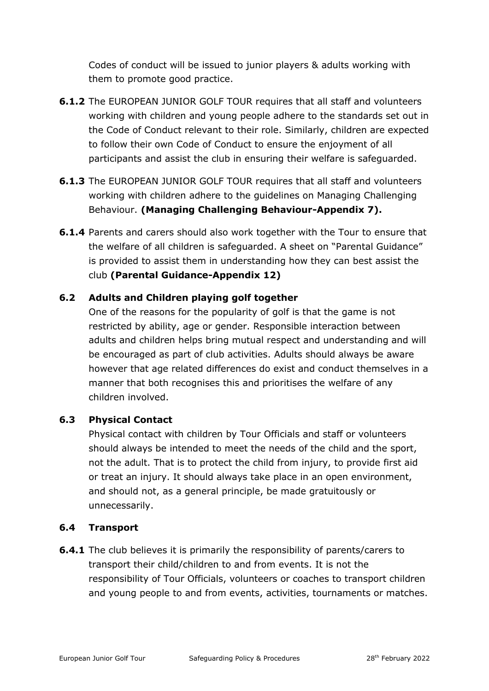Codes of conduct will be issued to junior players & adults working with them to promote good practice.

- **6.1.2** The EUROPEAN JUNIOR GOLF TOUR requires that all staff and volunteers working with children and young people adhere to the standards set out in the Code of Conduct relevant to their role. Similarly, children are expected to follow their own Code of Conduct to ensure the enjoyment of all participants and assist the club in ensuring their welfare is safeguarded.
- **6.1.3** The EUROPEAN JUNIOR GOLF TOUR requires that all staff and volunteers working with children adhere to the guidelines on Managing Challenging Behaviour. **(Managing Challenging Behaviour-Appendix 7).**
- **6.1.4** Parents and carers should also work together with the Tour to ensure that the welfare of all children is safeguarded. A sheet on "Parental Guidance" is provided to assist them in understanding how they can best assist the club **(Parental Guidance-Appendix 12)**

#### **6.2 Adults and Children playing golf together**

One of the reasons for the popularity of golf is that the game is not restricted by ability, age or gender. Responsible interaction between adults and children helps bring mutual respect and understanding and will be encouraged as part of club activities. Adults should always be aware however that age related differences do exist and conduct themselves in a manner that both recognises this and prioritises the welfare of any children involved.

#### **6.3 Physical Contact**

Physical contact with children by Tour Officials and staff or volunteers should always be intended to meet the needs of the child and the sport, not the adult. That is to protect the child from injury, to provide first aid or treat an injury. It should always take place in an open environment, and should not, as a general principle, be made gratuitously or unnecessarily.

#### **6.4 Transport**

**6.4.1** The club believes it is primarily the responsibility of parents/carers to transport their child/children to and from events. It is not the responsibility of Tour Officials, volunteers or coaches to transport children and young people to and from events, activities, tournaments or matches.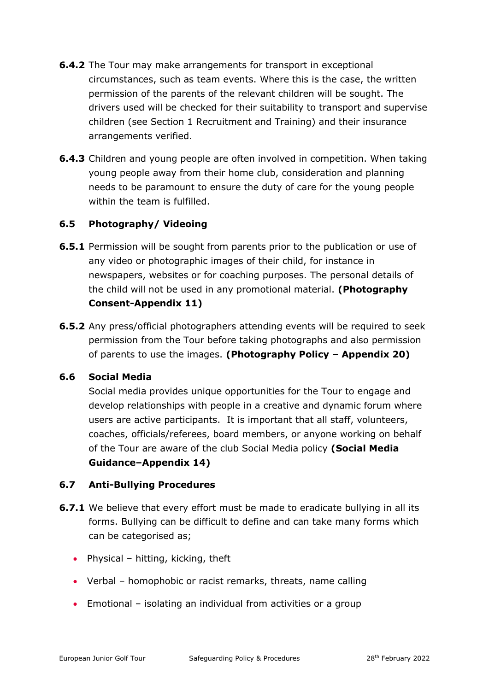- **6.4.2** The Tour may make arrangements for transport in exceptional circumstances, such as team events. Where this is the case, the written permission of the parents of the relevant children will be sought. The drivers used will be checked for their suitability to transport and supervise children (see Section 1 Recruitment and Training) and their insurance arrangements verified.
- **6.4.3** Children and young people are often involved in competition. When taking young people away from their home club, consideration and planning needs to be paramount to ensure the duty of care for the young people within the team is fulfilled.

#### **6.5 Photography/ Videoing**

- **6.5.1** Permission will be sought from parents prior to the publication or use of any video or photographic images of their child, for instance in newspapers, websites or for coaching purposes. The personal details of the child will not be used in any promotional material. **(Photography Consent-Appendix 11)**
- **6.5.2** Any press/official photographers attending events will be required to seek permission from the Tour before taking photographs and also permission of parents to use the images. **(Photography Policy – Appendix 20)**

#### **6.6 Social Media**

Social media provides unique opportunities for the Tour to engage and develop relationships with people in a creative and dynamic forum where users are active participants. It is important that all staff, volunteers, coaches, officials/referees, board members, or anyone working on behalf of the Tour are aware of the club Social Media policy **(Social Media Guidance–Appendix 14)**

#### **6.7 Anti-Bullying Procedures**

- **6.7.1** We believe that every effort must be made to eradicate bullying in all its forms. Bullying can be difficult to define and can take many forms which can be categorised as;
	- Physical hitting, kicking, theft
	- Verbal homophobic or racist remarks, threats, name calling
	- Emotional isolating an individual from activities or a group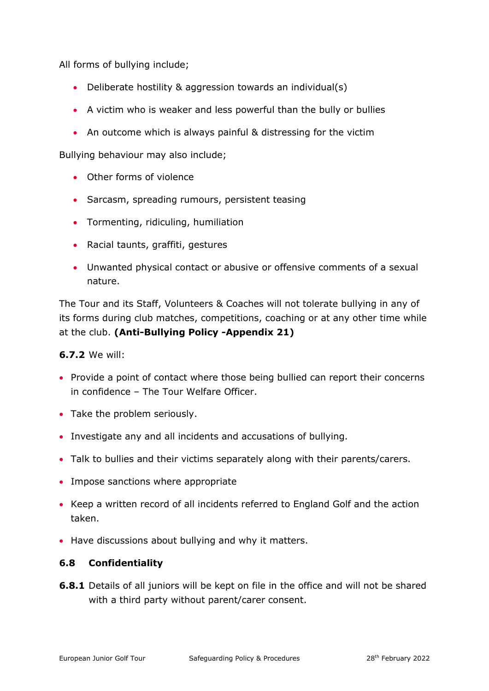All forms of bullying include;

- Deliberate hostility & aggression towards an individual(s)
- A victim who is weaker and less powerful than the bully or bullies
- An outcome which is always painful & distressing for the victim

Bullying behaviour may also include;

- Other forms of violence
- Sarcasm, spreading rumours, persistent teasing
- Tormenting, ridiculing, humiliation
- Racial taunts, graffiti, gestures
- Unwanted physical contact or abusive or offensive comments of a sexual nature.

The Tour and its Staff, Volunteers & Coaches will not tolerate bullying in any of its forms during club matches, competitions, coaching or at any other time while at the club. **(Anti-Bullying Policy -Appendix 21)**

#### **6.7.2** We will:

- Provide a point of contact where those being bullied can report their concerns in confidence – The Tour Welfare Officer.
- Take the problem seriously.
- Investigate any and all incidents and accusations of bullying.
- Talk to bullies and their victims separately along with their parents/carers.
- Impose sanctions where appropriate
- Keep a written record of all incidents referred to England Golf and the action taken.
- Have discussions about bullying and why it matters.

#### **6.8 Confidentiality**

**6.8.1** Details of all juniors will be kept on file in the office and will not be shared with a third party without parent/carer consent.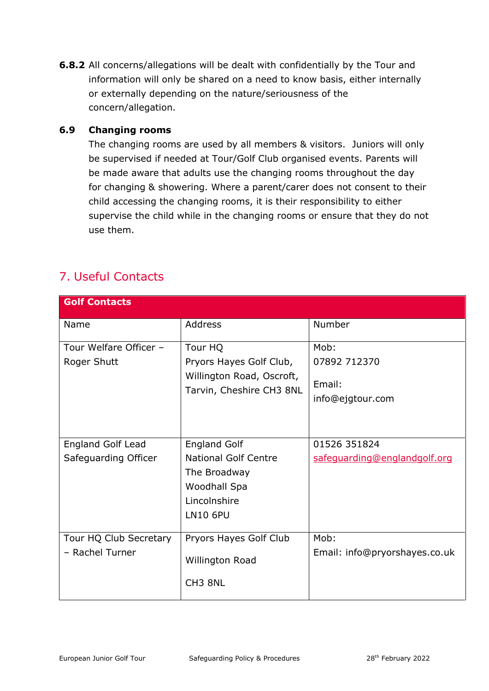**6.8.2** All concerns/allegations will be dealt with confidentially by the Tour and information will only be shared on a need to know basis, either internally or externally depending on the nature/seriousness of the concern/allegation.

#### **6.9 Changing rooms**

The changing rooms are used by all members & visitors. Juniors will only be supervised if needed at Tour/Golf Club organised events. Parents will be made aware that adults use the changing rooms throughout the day for changing & showering. Where a parent/carer does not consent to their child accessing the changing rooms, it is their responsibility to either supervise the child while in the changing rooms or ensure that they do not use them.

### <span id="page-15-0"></span>7. Useful Contacts

| <b>Golf Contacts</b>     |                                                       |                               |
|--------------------------|-------------------------------------------------------|-------------------------------|
| Name                     | <b>Address</b>                                        | Number                        |
| Tour Welfare Officer -   | Tour HQ                                               | Mob:                          |
| Roger Shutt              | Pryors Hayes Golf Club,                               | 07892 712370                  |
|                          | Willington Road, Oscroft,<br>Tarvin, Cheshire CH3 8NL | Email:                        |
|                          |                                                       | info@ejgtour.com              |
|                          |                                                       |                               |
|                          |                                                       |                               |
| <b>England Golf Lead</b> | <b>England Golf</b>                                   | 01526 351824                  |
| Safeguarding Officer     | <b>National Golf Centre</b>                           | safeguarding@englandgolf.org  |
|                          | The Broadway                                          |                               |
|                          | Woodhall Spa                                          |                               |
|                          | Lincolnshire                                          |                               |
|                          | <b>LN10 6PU</b>                                       |                               |
|                          |                                                       |                               |
| Tour HQ Club Secretary   | Pryors Hayes Golf Club                                | Mob:                          |
| - Rachel Turner          | Willington Road                                       | Email: info@pryorshayes.co.uk |
|                          | CH <sub>3</sub> 8NL                                   |                               |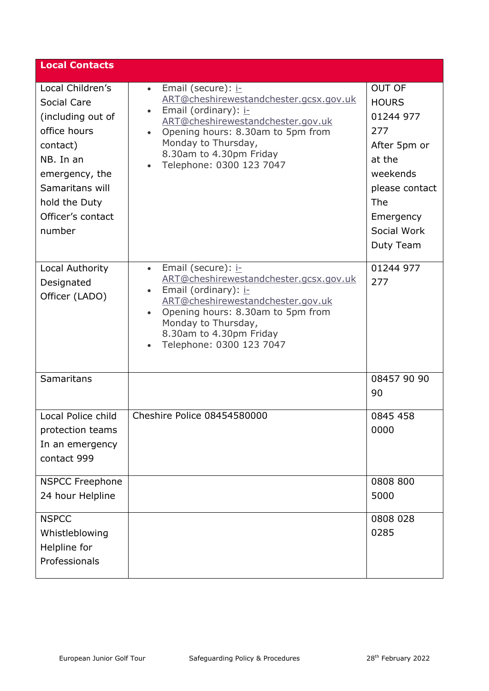| <b>Local Contacts</b>                                                                                                                                                              |                                                                                                                                                                                                                                                                                                  |                                                                                                                                                           |
|------------------------------------------------------------------------------------------------------------------------------------------------------------------------------------|--------------------------------------------------------------------------------------------------------------------------------------------------------------------------------------------------------------------------------------------------------------------------------------------------|-----------------------------------------------------------------------------------------------------------------------------------------------------------|
| Local Children's<br>Social Care<br>(including out of<br>office hours<br>contact)<br>NB. In an<br>emergency, the<br>Samaritans will<br>hold the Duty<br>Officer's contact<br>number | Email (secure): i-<br>$\bullet$<br>ART@cheshirewestandchester.gcsx.gov.uk<br>Email (ordinary): i-<br>$\bullet$<br>ART@cheshirewestandchester.gov.uk<br>Opening hours: 8.30am to 5pm from<br>$\bullet$<br>Monday to Thursday,<br>8.30am to 4.30pm Friday<br>Telephone: 0300 123 7047<br>$\bullet$ | <b>OUT OF</b><br><b>HOURS</b><br>01244 977<br>277<br>After 5pm or<br>at the<br>weekends<br>please contact<br>The<br>Emergency<br>Social Work<br>Duty Team |
| Local Authority<br>Designated<br>Officer (LADO)                                                                                                                                    | Email (secure): i-<br>$\bullet$<br>ART@cheshirewestandchester.gcsx.gov.uk<br>Email (ordinary): i-<br>$\bullet$<br>ART@cheshirewestandchester.gov.uk<br>Opening hours: 8.30am to 5pm from<br>$\bullet$<br>Monday to Thursday,<br>8.30am to 4.30pm Friday<br>Telephone: 0300 123 7047              | 01244 977<br>277                                                                                                                                          |
| Samaritans                                                                                                                                                                         |                                                                                                                                                                                                                                                                                                  | 08457 90 90<br>90                                                                                                                                         |
| Local Police child<br>protection teams<br>In an emergency<br>contact 999                                                                                                           | Cheshire Police 08454580000                                                                                                                                                                                                                                                                      | 0845 458<br>0000                                                                                                                                          |
| <b>NSPCC Freephone</b><br>24 hour Helpline                                                                                                                                         |                                                                                                                                                                                                                                                                                                  | 0808 800<br>5000                                                                                                                                          |
| <b>NSPCC</b><br>Whistleblowing<br>Helpline for<br>Professionals                                                                                                                    |                                                                                                                                                                                                                                                                                                  | 0808 028<br>0285                                                                                                                                          |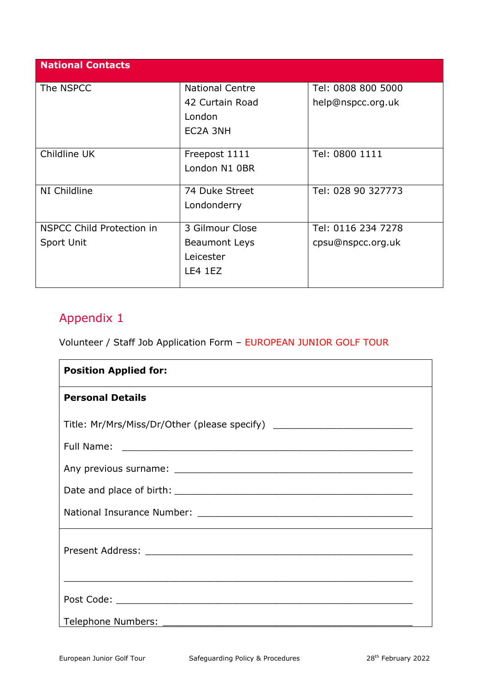| <b>National Contacts</b>         |                        |                    |
|----------------------------------|------------------------|--------------------|
| The NSPCC                        | <b>National Centre</b> | Tel: 0808 800 5000 |
|                                  | 42 Curtain Road        | help@nspcc.org.uk  |
|                                  | London                 |                    |
|                                  | EC2A 3NH               |                    |
|                                  |                        |                    |
| Childline UK                     | Freepost 1111          | Tel: 0800 1111     |
|                                  | London N1 0BR          |                    |
|                                  |                        |                    |
| NI Childline                     | 74 Duke Street         | Tel: 028 90 327773 |
|                                  | Londonderry            |                    |
|                                  |                        |                    |
| <b>NSPCC Child Protection in</b> | 3 Gilmour Close        | Tel: 0116 234 7278 |
| Sport Unit                       | <b>Beaumont Leys</b>   | cpsu@nspcc.org.uk  |
|                                  | Leicester              |                    |
|                                  | LE4 1EZ                |                    |
|                                  |                        |                    |

<span id="page-17-0"></span>Volunteer / Staff Job Application Form – EUROPEAN JUNIOR GOLF TOUR

| <b>Position Applied for:</b>                                                     |  |
|----------------------------------------------------------------------------------|--|
| <b>Personal Details</b>                                                          |  |
| Title: Mr/Mrs/Miss/Dr/Other (please specify) ___________________________________ |  |
|                                                                                  |  |
|                                                                                  |  |
|                                                                                  |  |
|                                                                                  |  |
|                                                                                  |  |
|                                                                                  |  |
| Telephone Numbers:                                                               |  |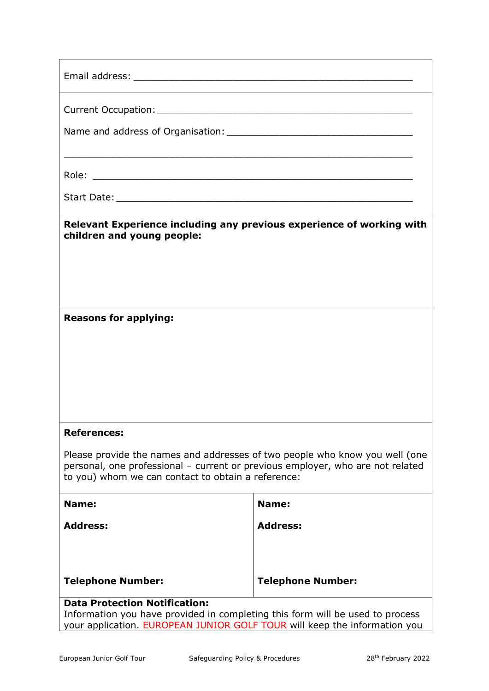|                                                                                                                                                                                                                     | ,我们也不能在这里的时候,我们也不能在这里的时候,我们也不能会在这里的时候,我们也不能会在这里的时候,我们也不能会在这里的时候,我们也不能会在这里的时候,我们也 |  |
|---------------------------------------------------------------------------------------------------------------------------------------------------------------------------------------------------------------------|----------------------------------------------------------------------------------|--|
|                                                                                                                                                                                                                     |                                                                                  |  |
| Relevant Experience including any previous experience of working with<br>children and young people:                                                                                                                 |                                                                                  |  |
| <b>Reasons for applying:</b>                                                                                                                                                                                        |                                                                                  |  |
| <b>References:</b>                                                                                                                                                                                                  |                                                                                  |  |
| Please provide the names and addresses of two people who know you well (one<br>personal, one professional - current or previous employer, who are not related<br>to you) whom we can contact to obtain a reference: |                                                                                  |  |
| Name:                                                                                                                                                                                                               | Name:                                                                            |  |
| <b>Address:</b>                                                                                                                                                                                                     | <b>Address:</b>                                                                  |  |
| <b>Telephone Number:</b>                                                                                                                                                                                            | <b>Telephone Number:</b>                                                         |  |
| <b>Data Protection Notification:</b>                                                                                                                                                                                |                                                                                  |  |
| Information you have provided in completing this form will be used to process<br>your application. EUROPEAN JUNIOR GOLF TOUR will keep the information you                                                          |                                                                                  |  |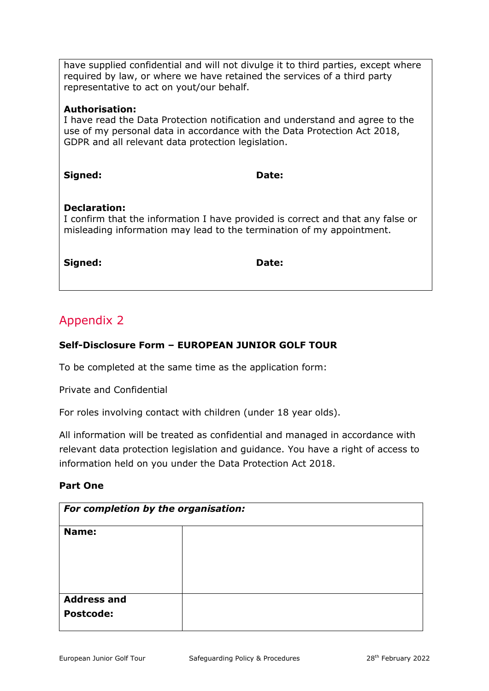have supplied confidential and will not divulge it to third parties, except where required by law, or where we have retained the services of a third party representative to act on yout/our behalf.

#### **Authorisation:**

I have read the Data Protection notification and understand and agree to the use of my personal data in accordance with the Data Protection Act 2018, GDPR and all relevant data protection legislation.

**Signed: Date:** 

#### **Declaration:**

I confirm that the information I have provided is correct and that any false or misleading information may lead to the termination of my appointment.

**Signed: Date:**

### <span id="page-19-0"></span>Appendix 2

#### **Self-Disclosure Form – EUROPEAN JUNIOR GOLF TOUR**

To be completed at the same time as the application form:

Private and Confidential

For roles involving contact with children (under 18 year olds).

All information will be treated as confidential and managed in accordance with relevant data protection legislation and guidance. You have a right of access to information held on you under the Data Protection Act 2018.

#### **Part One**

| For completion by the organisation: |  |  |
|-------------------------------------|--|--|
| Name:                               |  |  |
|                                     |  |  |
|                                     |  |  |
|                                     |  |  |
| <b>Address and</b>                  |  |  |
| <b>Postcode:</b>                    |  |  |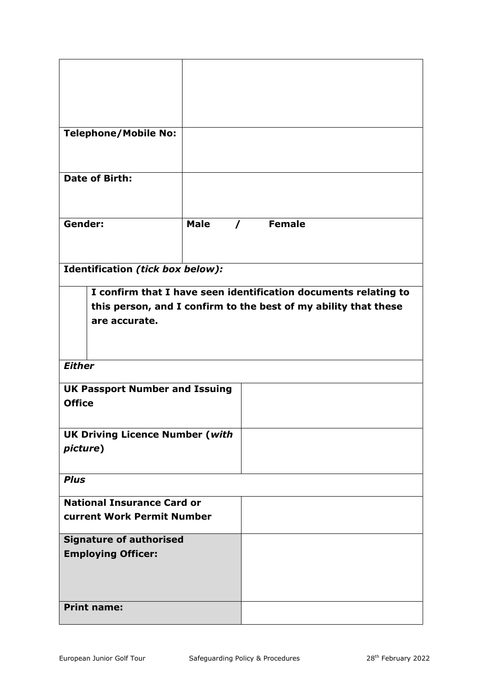| <b>Telephone/Mobile No:</b>            |             |               |                                                                 |
|----------------------------------------|-------------|---------------|-----------------------------------------------------------------|
|                                        |             |               |                                                                 |
|                                        |             |               |                                                                 |
| Date of Birth:                         |             |               |                                                                 |
|                                        |             |               |                                                                 |
|                                        |             |               |                                                                 |
| Gender:                                | <b>Male</b> | $\mathcal{L}$ | <b>Female</b>                                                   |
|                                        |             |               |                                                                 |
|                                        |             |               |                                                                 |
| Identification (tick box below):       |             |               |                                                                 |
|                                        |             |               |                                                                 |
|                                        |             |               | I confirm that I have seen identification documents relating to |
|                                        |             |               | this person, and I confirm to the best of my ability that these |
| are accurate.                          |             |               |                                                                 |
|                                        |             |               |                                                                 |
|                                        |             |               |                                                                 |
| <b>Either</b>                          |             |               |                                                                 |
| <b>UK Passport Number and Issuing</b>  |             |               |                                                                 |
| <b>Office</b>                          |             |               |                                                                 |
|                                        |             |               |                                                                 |
| <b>UK Driving Licence Number (with</b> |             |               |                                                                 |
| picture)                               |             |               |                                                                 |
|                                        |             |               |                                                                 |
| <b>Plus</b>                            |             |               |                                                                 |
|                                        |             |               |                                                                 |
| <b>National Insurance Card or</b>      |             |               |                                                                 |
| current Work Permit Number             |             |               |                                                                 |
| <b>Signature of authorised</b>         |             |               |                                                                 |
| <b>Employing Officer:</b>              |             |               |                                                                 |
|                                        |             |               |                                                                 |
|                                        |             |               |                                                                 |
|                                        |             |               |                                                                 |
| <b>Print name:</b>                     |             |               |                                                                 |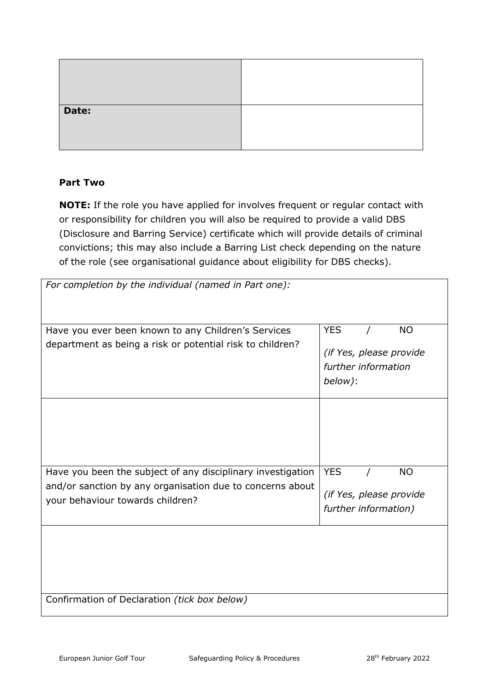| Date: |  |
|-------|--|

#### **Part Two**

**NOTE:** If the role you have applied for involves frequent or regular contact with or responsibility for children you will also be required to provide a valid DBS (Disclosure and Barring Service) certificate which will provide details of criminal convictions; this may also include a Barring List check depending on the nature of the role (see organisational guidance about eligibility for DBS checks).

| For completion by the individual (named in Part one):                                                                                                        |                                                                                      |  |  |
|--------------------------------------------------------------------------------------------------------------------------------------------------------------|--------------------------------------------------------------------------------------|--|--|
| Have you ever been known to any Children's Services<br>department as being a risk or potential risk to children?                                             | <b>YES</b><br><b>NO</b><br>(if Yes, please provide<br>further information<br>below): |  |  |
|                                                                                                                                                              |                                                                                      |  |  |
| Have you been the subject of any disciplinary investigation<br>and/or sanction by any organisation due to concerns about<br>your behaviour towards children? | <b>YES</b><br><b>NO</b><br>(if Yes, please provide<br>further information)           |  |  |
|                                                                                                                                                              |                                                                                      |  |  |
| Confirmation of Declaration (tick box below)                                                                                                                 |                                                                                      |  |  |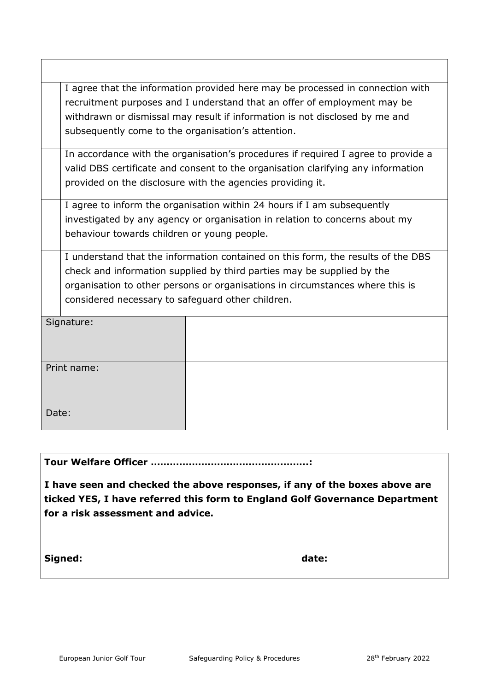| I agree that the information provided here may be processed in connection with |                                                                                   |  |  |  |  |
|--------------------------------------------------------------------------------|-----------------------------------------------------------------------------------|--|--|--|--|
| recruitment purposes and I understand that an offer of employment may be       |                                                                                   |  |  |  |  |
|                                                                                | withdrawn or dismissal may result if information is not disclosed by me and       |  |  |  |  |
|                                                                                | subsequently come to the organisation's attention.                                |  |  |  |  |
|                                                                                | In accordance with the organisation's procedures if required I agree to provide a |  |  |  |  |
|                                                                                | valid DBS certificate and consent to the organisation clarifying any information  |  |  |  |  |
|                                                                                | provided on the disclosure with the agencies providing it.                        |  |  |  |  |
|                                                                                | I agree to inform the organisation within 24 hours if I am subsequently           |  |  |  |  |
|                                                                                | investigated by any agency or organisation in relation to concerns about my       |  |  |  |  |
|                                                                                | behaviour towards children or young people.                                       |  |  |  |  |
|                                                                                | I understand that the information contained on this form, the results of the DBS  |  |  |  |  |
|                                                                                | check and information supplied by third parties may be supplied by the            |  |  |  |  |
|                                                                                | organisation to other persons or organisations in circumstances where this is     |  |  |  |  |
|                                                                                | considered necessary to safeguard other children.                                 |  |  |  |  |
| Signature:                                                                     |                                                                                   |  |  |  |  |
|                                                                                |                                                                                   |  |  |  |  |
|                                                                                |                                                                                   |  |  |  |  |
|                                                                                |                                                                                   |  |  |  |  |
| Print name:                                                                    |                                                                                   |  |  |  |  |
|                                                                                |                                                                                   |  |  |  |  |
|                                                                                |                                                                                   |  |  |  |  |
| Date:                                                                          |                                                                                   |  |  |  |  |
|                                                                                |                                                                                   |  |  |  |  |

**Tour Welfare Officer …………………………………………..:**

**I have seen and checked the above responses, if any of the boxes above are ticked YES, I have referred this form to England Golf Governance Department for a risk assessment and advice.**

Signed: **date: date: date: date:** 

 $\mathsf{I}$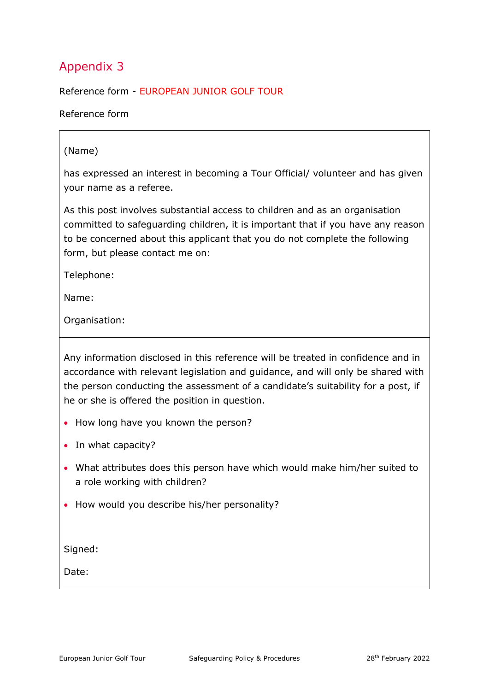<span id="page-23-0"></span>Reference form - EUROPEAN JUNIOR GOLF TOUR

Reference form

#### (Name)

has expressed an interest in becoming a Tour Official/ volunteer and has given your name as a referee.

As this post involves substantial access to children and as an organisation committed to safeguarding children, it is important that if you have any reason to be concerned about this applicant that you do not complete the following form, but please contact me on:

Telephone:

Name:

Organisation:

Any information disclosed in this reference will be treated in confidence and in accordance with relevant legislation and guidance, and will only be shared with the person conducting the assessment of a candidate's suitability for a post, if he or she is offered the position in question.

- How long have you known the person?
- In what capacity?
- What attributes does this person have which would make him/her suited to a role working with children?
- How would you describe his/her personality?

Signed:

Date: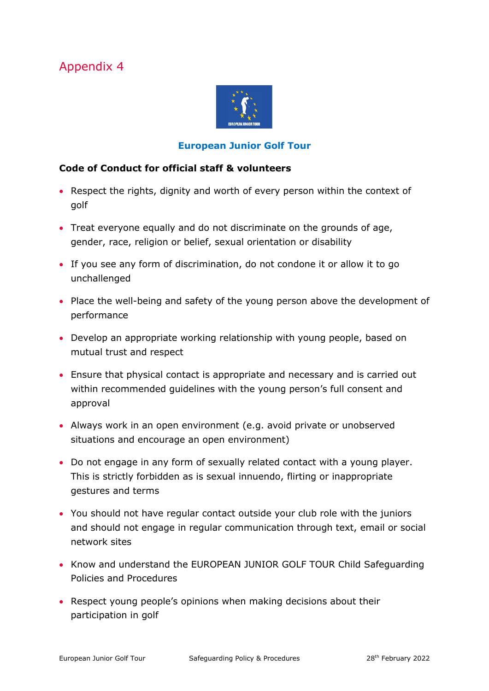

#### **European Junior Golf Tour**

#### <span id="page-24-0"></span>**Code of Conduct for official staff & volunteers**

- Respect the rights, dignity and worth of every person within the context of golf
- Treat everyone equally and do not discriminate on the grounds of age, gender, race, religion or belief, sexual orientation or disability
- If you see any form of discrimination, do not condone it or allow it to go unchallenged
- Place the well-being and safety of the young person above the development of performance
- Develop an appropriate working relationship with young people, based on mutual trust and respect
- Ensure that physical contact is appropriate and necessary and is carried out within recommended guidelines with the young person's full consent and approval
- Always work in an open environment (e.g. avoid private or unobserved situations and encourage an open environment)
- Do not engage in any form of sexually related contact with a young player. This is strictly forbidden as is sexual innuendo, flirting or inappropriate gestures and terms
- You should not have regular contact outside your club role with the juniors and should not engage in regular communication through text, email or social network sites
- Know and understand the EUROPEAN JUNIOR GOLF TOUR Child Safeguarding Policies and Procedures
- Respect young people's opinions when making decisions about their participation in golf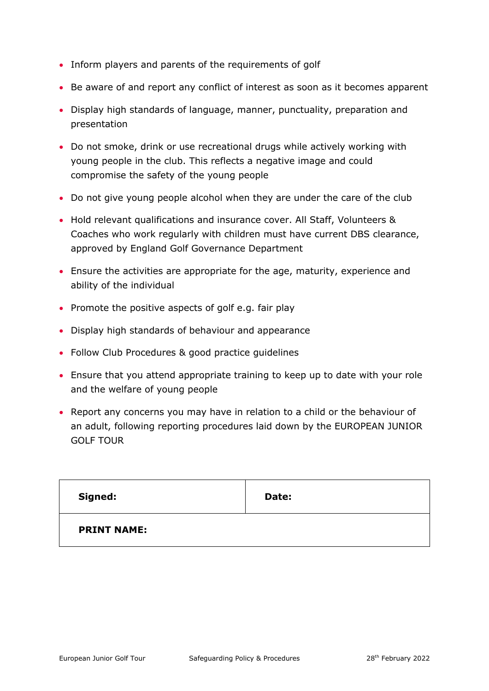- Inform players and parents of the requirements of golf
- Be aware of and report any conflict of interest as soon as it becomes apparent
- Display high standards of language, manner, punctuality, preparation and presentation
- Do not smoke, drink or use recreational drugs while actively working with young people in the club. This reflects a negative image and could compromise the safety of the young people
- Do not give young people alcohol when they are under the care of the club
- Hold relevant qualifications and insurance cover. All Staff, Volunteers & Coaches who work regularly with children must have current DBS clearance, approved by England Golf Governance Department
- Ensure the activities are appropriate for the age, maturity, experience and ability of the individual
- Promote the positive aspects of golf e.g. fair play
- Display high standards of behaviour and appearance
- Follow Club Procedures & good practice guidelines
- Ensure that you attend appropriate training to keep up to date with your role and the welfare of young people
- Report any concerns you may have in relation to a child or the behaviour of an adult, following reporting procedures laid down by the EUROPEAN JUNIOR GOLF TOUR

| Signed:            | Date: |
|--------------------|-------|
| <b>PRINT NAME:</b> |       |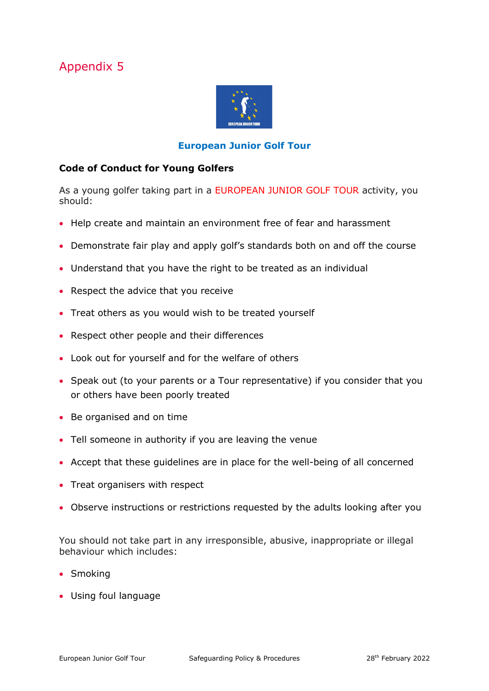

#### **European Junior Golf Tour**

#### <span id="page-26-0"></span>**Code of Conduct for Young Golfers**

As a young golfer taking part in a EUROPEAN JUNIOR GOLF TOUR activity, you should:

- Help create and maintain an environment free of fear and harassment
- Demonstrate fair play and apply golf's standards both on and off the course
- Understand that you have the right to be treated as an individual
- Respect the advice that you receive
- Treat others as you would wish to be treated yourself
- Respect other people and their differences
- Look out for yourself and for the welfare of others
- Speak out (to your parents or a Tour representative) if you consider that you or others have been poorly treated
- Be organised and on time
- Tell someone in authority if you are leaving the venue
- Accept that these guidelines are in place for the well-being of all concerned
- Treat organisers with respect
- Observe instructions or restrictions requested by the adults looking after you

You should not take part in any irresponsible, abusive, inappropriate or illegal behaviour which includes:

- Smoking
- Using foul language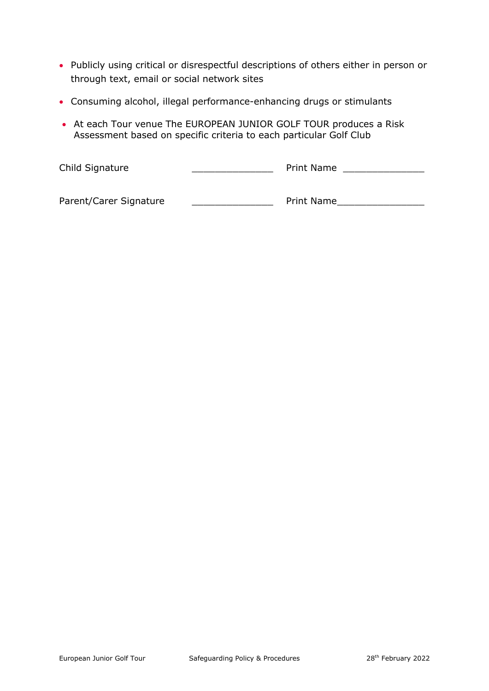- Publicly using critical or disrespectful descriptions of others either in person or through text, email or social network sites
- Consuming alcohol, illegal performance-enhancing drugs or stimulants
- At each Tour venue The EUROPEAN JUNIOR GOLF TOUR produces a Risk Assessment based on specific criteria to each particular Golf Club

Child Signature \_\_\_\_\_\_\_\_\_\_\_\_\_\_ Print Name \_\_\_\_\_\_\_\_\_\_\_\_\_\_

Parent/Carer Signature \_\_\_\_\_\_\_\_\_\_\_\_\_\_\_\_\_\_\_\_\_\_\_\_\_\_ Print Name\_\_\_\_\_\_\_\_\_\_\_\_\_\_\_\_\_\_\_\_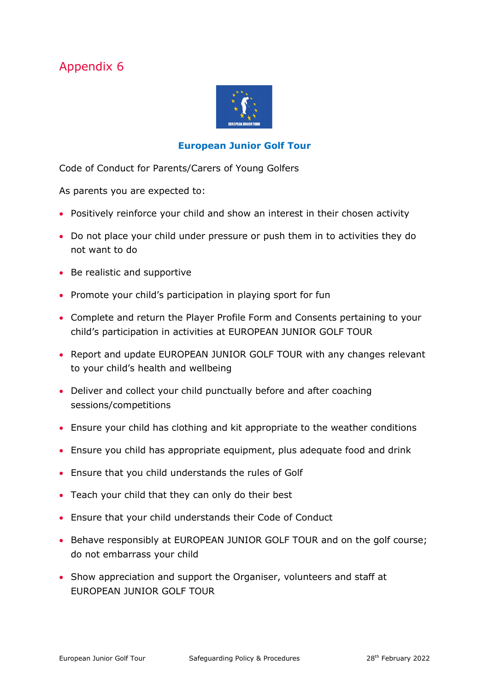

#### **European Junior Golf Tour**

<span id="page-28-0"></span>Code of Conduct for Parents/Carers of Young Golfers

As parents you are expected to:

- Positively reinforce your child and show an interest in their chosen activity
- Do not place your child under pressure or push them in to activities they do not want to do
- Be realistic and supportive
- Promote your child's participation in playing sport for fun
- Complete and return the Player Profile Form and Consents pertaining to your child's participation in activities at EUROPEAN JUNIOR GOLF TOUR
- Report and update EUROPEAN JUNIOR GOLF TOUR with any changes relevant to your child's health and wellbeing
- Deliver and collect your child punctually before and after coaching sessions/competitions
- Ensure your child has clothing and kit appropriate to the weather conditions
- Ensure you child has appropriate equipment, plus adequate food and drink
- Ensure that you child understands the rules of Golf
- Teach your child that they can only do their best
- Ensure that your child understands their Code of Conduct
- Behave responsibly at EUROPEAN JUNIOR GOLF TOUR and on the golf course; do not embarrass your child
- Show appreciation and support the Organiser, volunteers and staff at EUROPEAN JUNIOR GOLF TOUR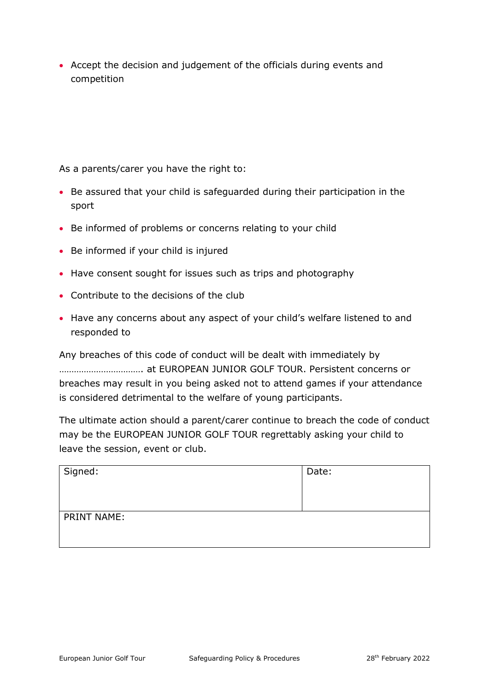• Accept the decision and judgement of the officials during events and competition

As a parents/carer you have the right to:

- Be assured that your child is safeguarded during their participation in the sport
- Be informed of problems or concerns relating to your child
- Be informed if your child is injured
- Have consent sought for issues such as trips and photography
- Contribute to the decisions of the club
- Have any concerns about any aspect of your child's welfare listened to and responded to

Any breaches of this code of conduct will be dealt with immediately by ……………………………. at EUROPEAN JUNIOR GOLF TOUR. Persistent concerns or breaches may result in you being asked not to attend games if your attendance is considered detrimental to the welfare of young participants.

The ultimate action should a parent/carer continue to breach the code of conduct may be the EUROPEAN JUNIOR GOLF TOUR regrettably asking your child to leave the session, event or club.

| Signed:            | Date: |
|--------------------|-------|
| <b>PRINT NAME:</b> |       |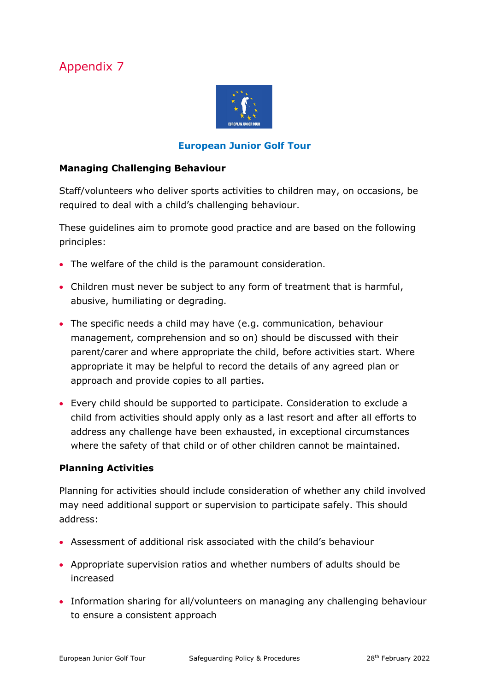

#### **European Junior Golf Tour**

#### **Managing Challenging Behaviour**

Staff/volunteers who deliver sports activities to children may, on occasions, be required to deal with a child's challenging behaviour.

These guidelines aim to promote good practice and are based on the following principles:

- The welfare of the child is the paramount consideration.
- Children must never be subject to any form of treatment that is harmful, abusive, humiliating or degrading.
- The specific needs a child may have (e.g. communication, behaviour management, comprehension and so on) should be discussed with their parent/carer and where appropriate the child, before activities start. Where appropriate it may be helpful to record the details of any agreed plan or approach and provide copies to all parties.
- Every child should be supported to participate. Consideration to exclude a child from activities should apply only as a last resort and after all efforts to address any challenge have been exhausted, in exceptional circumstances where the safety of that child or of other children cannot be maintained.

#### **Planning Activities**

Planning for activities should include consideration of whether any child involved may need additional support or supervision to participate safely. This should address:

- Assessment of additional risk associated with the child's behaviour
- Appropriate supervision ratios and whether numbers of adults should be increased
- Information sharing for all/volunteers on managing any challenging behaviour to ensure a consistent approach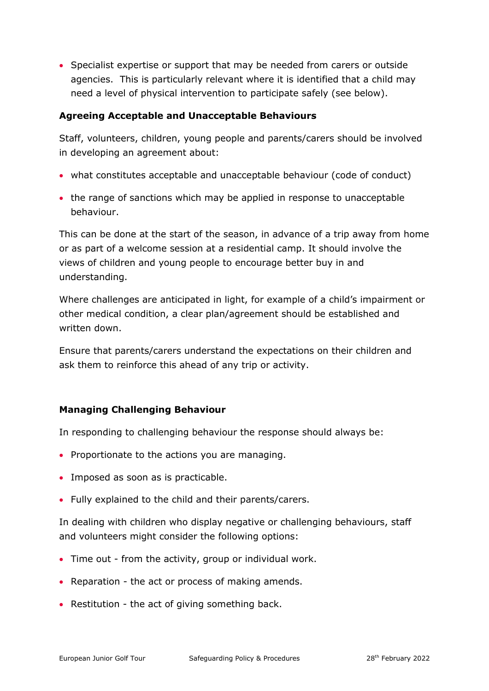• Specialist expertise or support that may be needed from carers or outside agencies. This is particularly relevant where it is identified that a child may need a level of physical intervention to participate safely (see below).

#### **Agreeing Acceptable and Unacceptable Behaviours**

Staff, volunteers, children, young people and parents/carers should be involved in developing an agreement about:

- what constitutes acceptable and unacceptable behaviour (code of conduct)
- the range of sanctions which may be applied in response to unacceptable behaviour.

This can be done at the start of the season, in advance of a trip away from home or as part of a welcome session at a residential camp. It should involve the views of children and young people to encourage better buy in and understanding.

Where challenges are anticipated in light, for example of a child's impairment or other medical condition, a clear plan/agreement should be established and written down.

Ensure that parents/carers understand the expectations on their children and ask them to reinforce this ahead of any trip or activity.

#### **Managing Challenging Behaviour**

In responding to challenging behaviour the response should always be:

- Proportionate to the actions you are managing.
- Imposed as soon as is practicable.
- Fully explained to the child and their parents/carers.

In dealing with children who display negative or challenging behaviours, staff and volunteers might consider the following options:

- Time out from the activity, group or individual work.
- Reparation the act or process of making amends.
- Restitution the act of giving something back.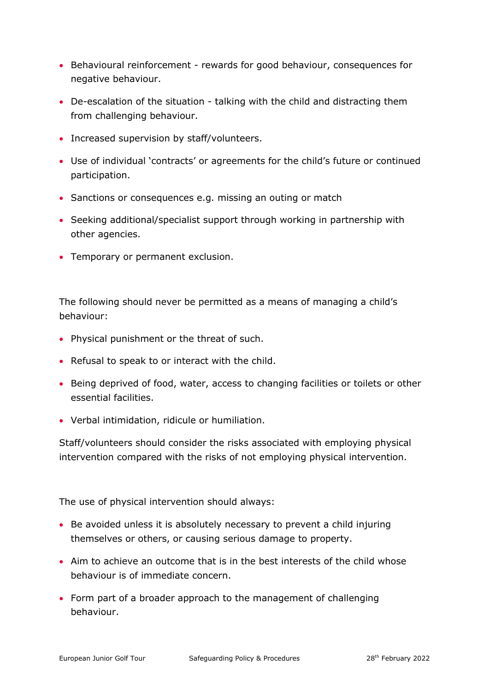- Behavioural reinforcement rewards for good behaviour, consequences for negative behaviour.
- De-escalation of the situation talking with the child and distracting them from challenging behaviour.
- Increased supervision by staff/volunteers.
- Use of individual 'contracts' or agreements for the child's future or continued participation.
- Sanctions or consequences e.g. missing an outing or match
- Seeking additional/specialist support through working in partnership with other agencies.
- Temporary or permanent exclusion.

The following should never be permitted as a means of managing a child's behaviour:

- Physical punishment or the threat of such.
- Refusal to speak to or interact with the child.
- Being deprived of food, water, access to changing facilities or toilets or other essential facilities.
- Verbal intimidation, ridicule or humiliation.

Staff/volunteers should consider the risks associated with employing physical intervention compared with the risks of not employing physical intervention.

The use of physical intervention should always:

- Be avoided unless it is absolutely necessary to prevent a child injuring themselves or others, or causing serious damage to property.
- Aim to achieve an outcome that is in the best interests of the child whose behaviour is of immediate concern.
- Form part of a broader approach to the management of challenging behaviour.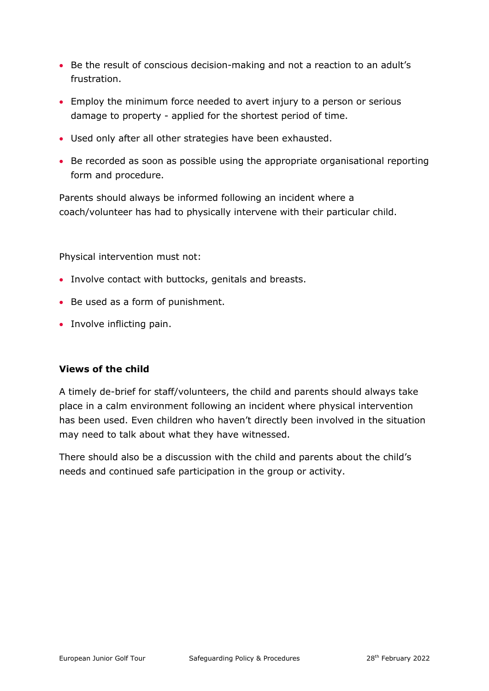- Be the result of conscious decision-making and not a reaction to an adult's frustration.
- Employ the minimum force needed to avert injury to a person or serious damage to property - applied for the shortest period of time.
- Used only after all other strategies have been exhausted.
- Be recorded as soon as possible using the appropriate organisational reporting form and procedure.

Parents should always be informed following an incident where a coach/volunteer has had to physically intervene with their particular child.

Physical intervention must not:

- Involve contact with buttocks, genitals and breasts.
- Be used as a form of punishment.
- Involve inflicting pain.

#### **Views of the child**

A timely de-brief for staff/volunteers, the child and parents should always take place in a calm environment following an incident where physical intervention has been used. Even children who haven't directly been involved in the situation may need to talk about what they have witnessed.

There should also be a discussion with the child and parents about the child's needs and continued safe participation in the group or activity.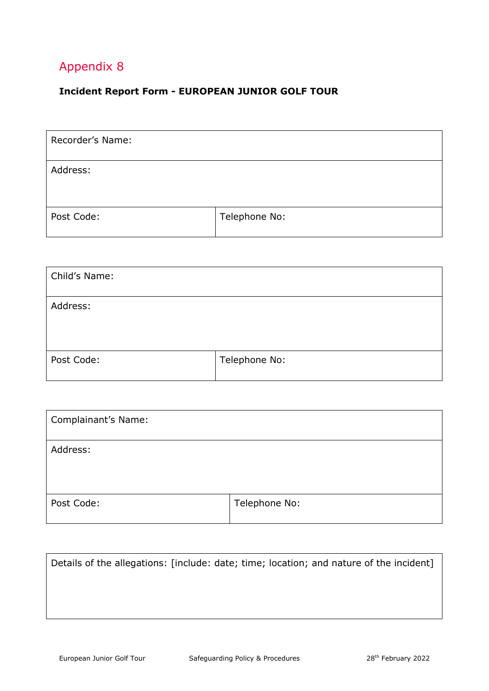#### <span id="page-34-0"></span>**Incident Report Form - EUROPEAN JUNIOR GOLF TOUR**

| Recorder's Name: |               |
|------------------|---------------|
| Address:         |               |
| Post Code:       | Telephone No: |

| Child's Name: |               |
|---------------|---------------|
| Address:      |               |
| Post Code:    | Telephone No: |

| <b>Complainant's Name:</b> |               |
|----------------------------|---------------|
| Address:                   |               |
| Post Code:                 | Telephone No: |

| Details of the allegations: [include: date; time; location; and nature of the incident] |  |
|-----------------------------------------------------------------------------------------|--|
|                                                                                         |  |
|                                                                                         |  |
|                                                                                         |  |
|                                                                                         |  |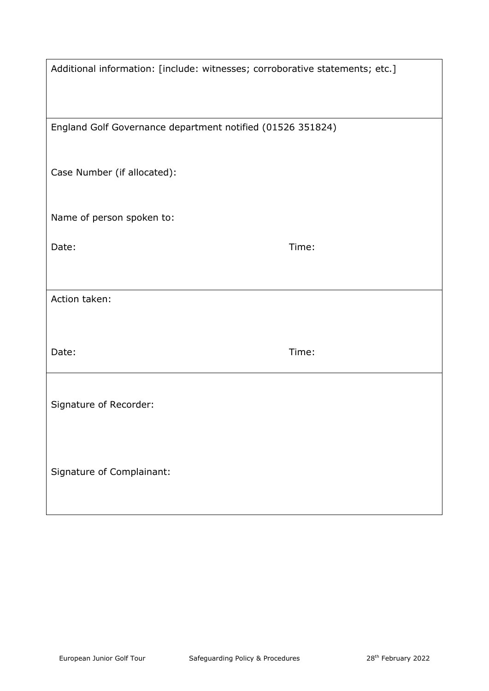| Additional information: [include: witnesses; corroborative statements; etc.] |       |  |
|------------------------------------------------------------------------------|-------|--|
|                                                                              |       |  |
| England Golf Governance department notified (01526 351824)                   |       |  |
| Case Number (if allocated):                                                  |       |  |
| Name of person spoken to:                                                    |       |  |
| Date:                                                                        | Time: |  |
|                                                                              |       |  |
| Action taken:                                                                |       |  |
| Date:                                                                        | Time: |  |
| Signature of Recorder:                                                       |       |  |
| Signature of Complainant:                                                    |       |  |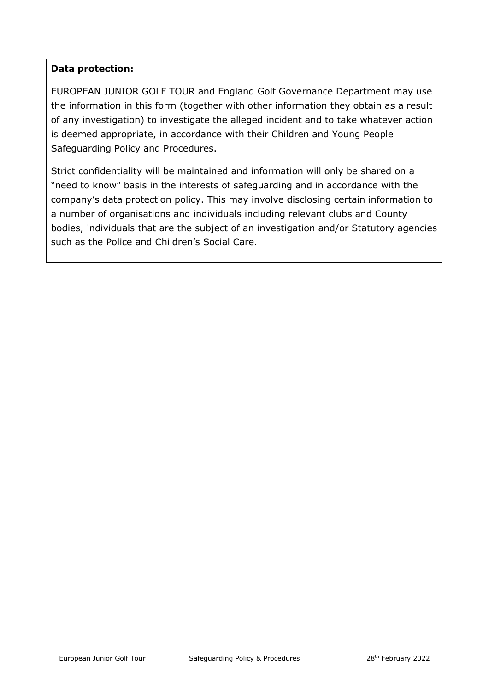#### **Data protection:**

EUROPEAN JUNIOR GOLF TOUR and England Golf Governance Department may use the information in this form (together with other information they obtain as a result of any investigation) to investigate the alleged incident and to take whatever action is deemed appropriate, in accordance with their Children and Young People Safeguarding Policy and Procedures.

<span id="page-36-0"></span>Strict confidentiality will be maintained and information will only be shared on a "need to know" basis in the interests of safeguarding and in accordance with the company's data protection policy. This may involve disclosing certain information to a number of organisations and individuals including relevant clubs and County bodies, individuals that are the subject of an investigation and/or Statutory agencies such as the Police and Children's Social Care.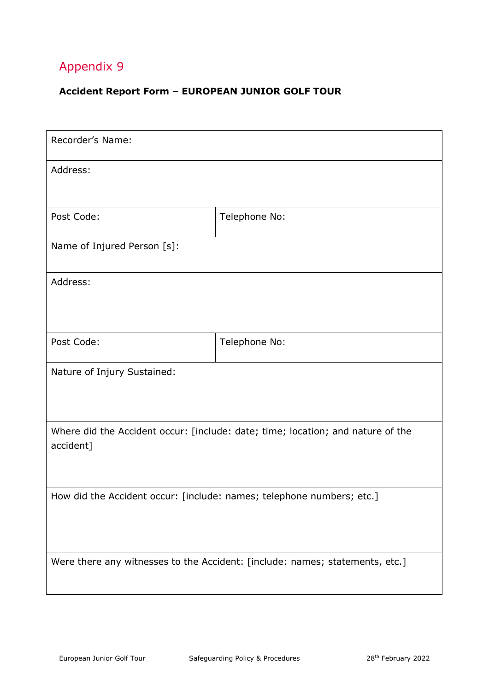#### **Accident Report Form – EUROPEAN JUNIOR GOLF TOUR**

| Recorder's Name:                                                                             |               |  |
|----------------------------------------------------------------------------------------------|---------------|--|
| Address:                                                                                     |               |  |
| Post Code:                                                                                   | Telephone No: |  |
| Name of Injured Person [s]:                                                                  |               |  |
| Address:                                                                                     |               |  |
| Post Code:                                                                                   | Telephone No: |  |
| Nature of Injury Sustained:                                                                  |               |  |
| Where did the Accident occur: [include: date; time; location; and nature of the<br>accident] |               |  |
| How did the Accident occur: [include: names; telephone numbers; etc.]                        |               |  |
| Were there any witnesses to the Accident: [include: names; statements, etc.]                 |               |  |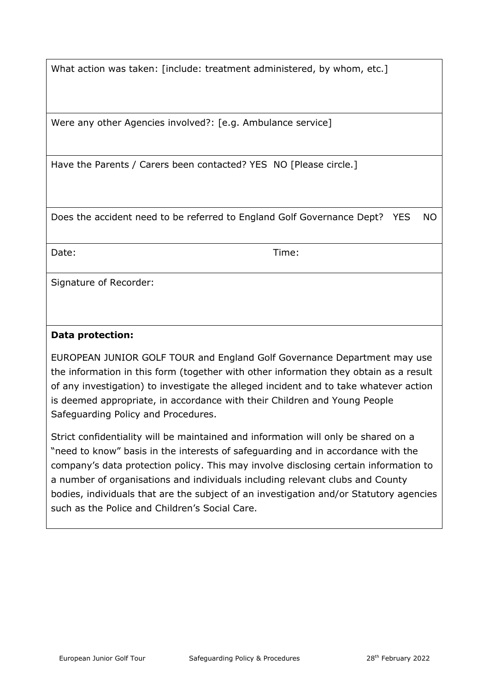What action was taken: [include: treatment administered, by whom, etc.]

Were any other Agencies involved?: [e.g. Ambulance service]

Have the Parents / Carers been contacted? YES NO [Please circle.]

Does the accident need to be referred to England Golf Governance Dept? YES NO

Date: Time:

Signature of Recorder:

#### **Data protection:**

EUROPEAN JUNIOR GOLF TOUR and England Golf Governance Department may use the information in this form (together with other information they obtain as a result of any investigation) to investigate the alleged incident and to take whatever action is deemed appropriate, in accordance with their Children and Young People Safeguarding Policy and Procedures.

Strict confidentiality will be maintained and information will only be shared on a "need to know" basis in the interests of safeguarding and in accordance with the company's data protection policy. This may involve disclosing certain information to a number of organisations and individuals including relevant clubs and County bodies, individuals that are the subject of an investigation and/or Statutory agencies such as the Police and Children's Social Care.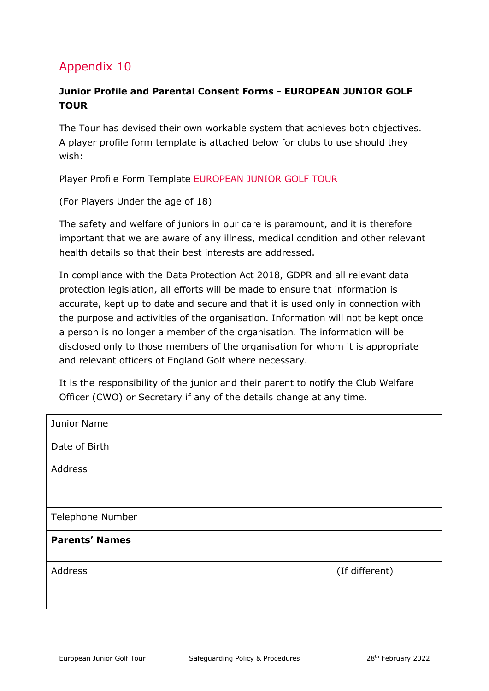#### <span id="page-39-0"></span>**Junior Profile and Parental Consent Forms - EUROPEAN JUNIOR GOLF TOUR**

The Tour has devised their own workable system that achieves both objectives. A player profile form template is attached below for clubs to use should they wish:

Player Profile Form Template EUROPEAN JUNIOR GOLF TOUR

(For Players Under the age of 18)

The safety and welfare of juniors in our care is paramount, and it is therefore important that we are aware of any illness, medical condition and other relevant health details so that their best interests are addressed.

In compliance with the Data Protection Act 2018, GDPR and all relevant data protection legislation, all efforts will be made to ensure that information is accurate, kept up to date and secure and that it is used only in connection with the purpose and activities of the organisation. Information will not be kept once a person is no longer a member of the organisation. The information will be disclosed only to those members of the organisation for whom it is appropriate and relevant officers of England Golf where necessary.

It is the responsibility of the junior and their parent to notify the Club Welfare Officer (CWO) or Secretary if any of the details change at any time.

| Junior Name           |                |
|-----------------------|----------------|
| Date of Birth         |                |
| Address               |                |
| Telephone Number      |                |
| <b>Parents' Names</b> |                |
| Address               | (If different) |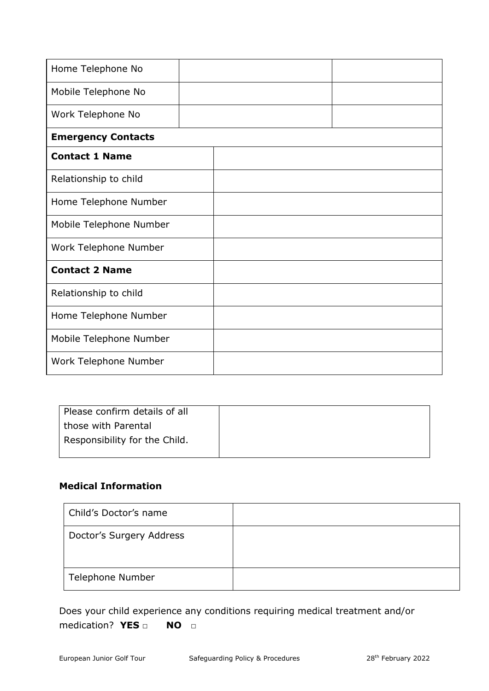| Home Telephone No         |  |  |  |
|---------------------------|--|--|--|
| Mobile Telephone No       |  |  |  |
| Work Telephone No         |  |  |  |
| <b>Emergency Contacts</b> |  |  |  |
| <b>Contact 1 Name</b>     |  |  |  |
| Relationship to child     |  |  |  |
| Home Telephone Number     |  |  |  |
| Mobile Telephone Number   |  |  |  |
| Work Telephone Number     |  |  |  |
| <b>Contact 2 Name</b>     |  |  |  |
| Relationship to child     |  |  |  |
| Home Telephone Number     |  |  |  |
| Mobile Telephone Number   |  |  |  |
| Work Telephone Number     |  |  |  |

| Please confirm details of all |  |
|-------------------------------|--|
| I those with Parental         |  |
| Responsibility for the Child. |  |
|                               |  |

#### **Medical Information**

| Child's Doctor's name    |  |
|--------------------------|--|
| Doctor's Surgery Address |  |
| Telephone Number         |  |

Does your child experience any conditions requiring medical treatment and/or medication? **YES □ NO □**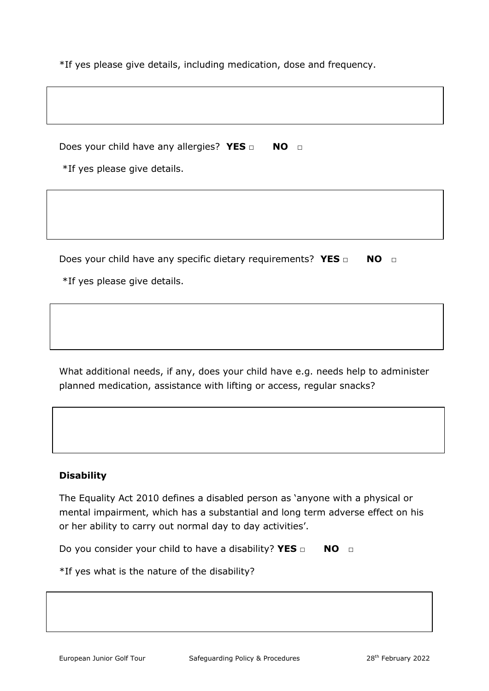\*If yes please give details, including medication, dose and frequency.

Does your child have any allergies? **YES** □ **NO** □

\*If yes please give details.

Does your child have any specific dietary requirements? **YES □ NO** □

\*If yes please give details.

What additional needs, if any, does your child have e.g. needs help to administer planned medication, assistance with lifting or access, regular snacks?

#### **Disability**

The Equality Act 2010 defines a disabled person as 'anyone with a physical or mental impairment, which has a substantial and long term adverse effect on his or her ability to carry out normal day to day activities'.

Do you consider your child to have a disability? **YES** □ **NO** □

\*If yes what is the nature of the disability?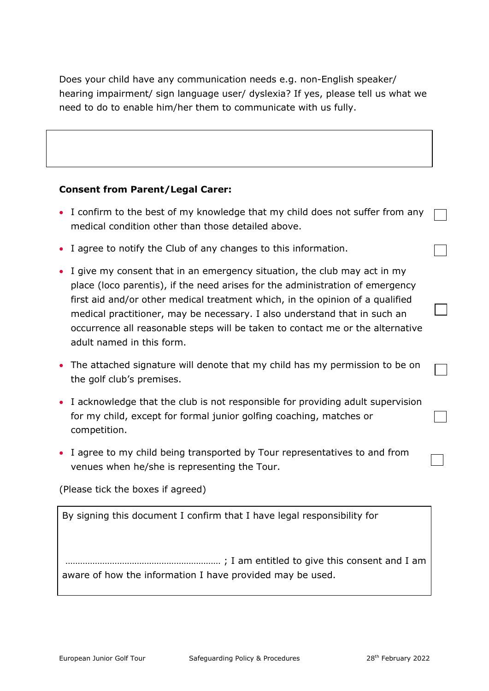Does your child have any communication needs e.g. non-English speaker/ hearing impairment/ sign language user/ dyslexia? If yes, please tell us what we need to do to enable him/her them to communicate with us fully.

#### **Consent from Parent/Legal Carer:**

- I confirm to the best of my knowledge that my child does not suffer from any medical condition other than those detailed above.
- I agree to notify the Club of any changes to this information.
- I give my consent that in an emergency situation, the club may act in my place (loco parentis), if the need arises for the administration of emergency first aid and/or other medical treatment which, in the opinion of a qualified medical practitioner, may be necessary. I also understand that in such an occurrence all reasonable steps will be taken to contact me or the alternative adult named in this form.
- The attached signature will denote that my child has my permission to be on the golf club's premises.
- I acknowledge that the club is not responsible for providing adult supervision for my child, except for formal junior golfing coaching, matches or competition.
- I agree to my child being transported by Tour representatives to and from venues when he/she is representing the Tour.

(Please tick the boxes if agreed)

By signing this document I confirm that I have legal responsibility for

……………………………………………………… ; I am entitled to give this consent and I am aware of how the information I have provided may be used.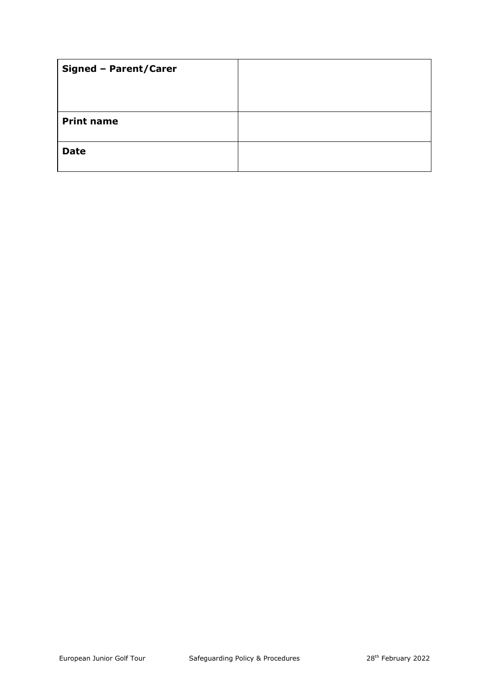| <b>Signed - Parent/Carer</b> |  |
|------------------------------|--|
|                              |  |
|                              |  |
| <b>Print name</b>            |  |
| <b>Date</b>                  |  |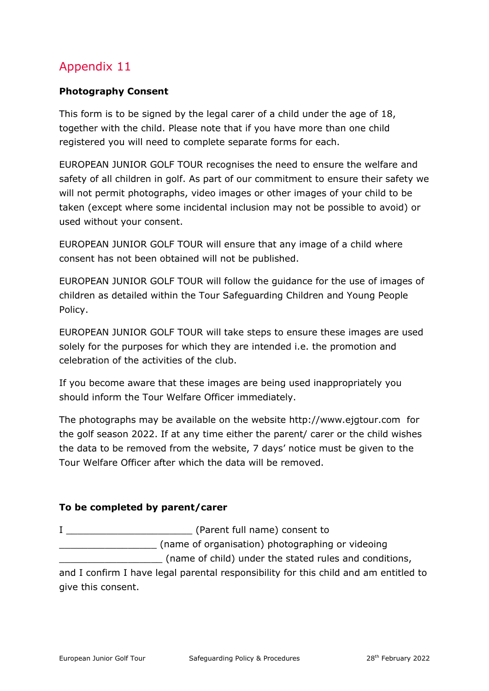#### <span id="page-44-0"></span>**Photography Consent**

This form is to be signed by the legal carer of a child under the age of 18, together with the child. Please note that if you have more than one child registered you will need to complete separate forms for each.

EUROPEAN JUNIOR GOLF TOUR recognises the need to ensure the welfare and safety of all children in golf. As part of our commitment to ensure their safety we will not permit photographs, video images or other images of your child to be taken (except where some incidental inclusion may not be possible to avoid) or used without your consent.

EUROPEAN JUNIOR GOLF TOUR will ensure that any image of a child where consent has not been obtained will not be published.

EUROPEAN JUNIOR GOLF TOUR will follow the guidance for the use of images of children as detailed within the Tour Safeguarding Children and Young People Policy.

EUROPEAN JUNIOR GOLF TOUR will take steps to ensure these images are used solely for the purposes for which they are intended i.e. the promotion and celebration of the activities of the club.

If you become aware that these images are being used inappropriately you should inform the Tour Welfare Officer immediately.

The photographs may be available on the website http://www.ejgtour.com for the golf season 2022. If at any time either the parent/ carer or the child wishes the data to be removed from the website, 7 days' notice must be given to the Tour Welfare Officer after which the data will be removed.

#### **To be completed by parent/carer**

I <del>conserve and all conserved and all conserved and all conserved and all conserved and all conserved and all conserved and all conserved and all conserved and all conserved and all conserved and all conserved and all cons</del> \_\_\_\_\_\_\_\_\_\_\_\_\_\_\_\_\_ (name of organisation) photographing or videoing \_\_\_\_\_\_\_\_\_\_\_\_\_\_\_\_\_\_ (name of child) under the stated rules and conditions,

and I confirm I have legal parental responsibility for this child and am entitled to give this consent.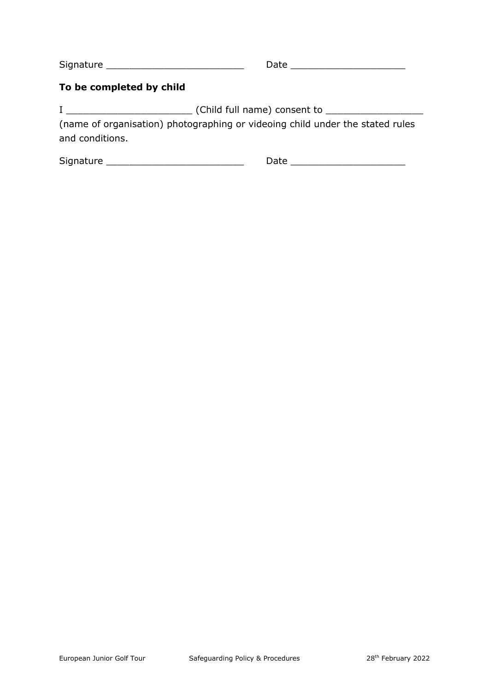Signature \_\_\_\_\_\_\_\_\_\_\_\_\_\_\_\_\_\_\_\_\_\_\_\_ Date \_\_\_\_\_\_\_\_\_\_\_\_\_\_\_\_\_\_\_\_

#### **To be completed by child**

I \_\_\_\_\_\_\_\_\_\_\_\_\_\_\_\_\_\_\_\_\_\_ (Child full name) consent to \_\_\_\_\_\_\_\_\_\_\_\_\_\_\_\_\_

(name of organisation) photographing or videoing child under the stated rules and conditions.

<span id="page-45-0"></span>Signature \_\_\_\_\_\_\_\_\_\_\_\_\_\_\_\_\_\_\_\_\_\_\_\_ Date \_\_\_\_\_\_\_\_\_\_\_\_\_\_\_\_\_\_\_\_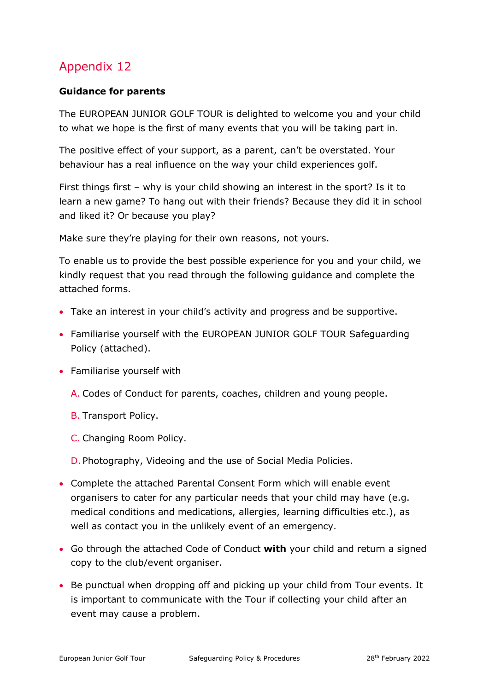#### **Guidance for parents**

The EUROPEAN JUNIOR GOLF TOUR is delighted to welcome you and your child to what we hope is the first of many events that you will be taking part in.

The positive effect of your support, as a parent, can't be overstated. Your behaviour has a real influence on the way your child experiences golf.

First things first – why is your child showing an interest in the sport? Is it to learn a new game? To hang out with their friends? Because they did it in school and liked it? Or because you play?

Make sure they're playing for their own reasons, not yours.

To enable us to provide the best possible experience for you and your child, we kindly request that you read through the following guidance and complete the attached forms.

- Take an interest in your child's activity and progress and be supportive.
- Familiarise yourself with the EUROPEAN JUNIOR GOLF TOUR Safeguarding Policy (attached).
- Familiarise yourself with
	- A. Codes of Conduct for parents, coaches, children and young people.
	- B. Transport Policy.
	- C. Changing Room Policy.

D. Photography, Videoing and the use of Social Media Policies.

- Complete the attached Parental Consent Form which will enable event organisers to cater for any particular needs that your child may have (e.g. medical conditions and medications, allergies, learning difficulties etc.), as well as contact you in the unlikely event of an emergency.
- Go through the attached Code of Conduct **with** your child and return a signed copy to the club/event organiser.
- Be punctual when dropping off and picking up your child from Tour events. It is important to communicate with the Tour if collecting your child after an event may cause a problem.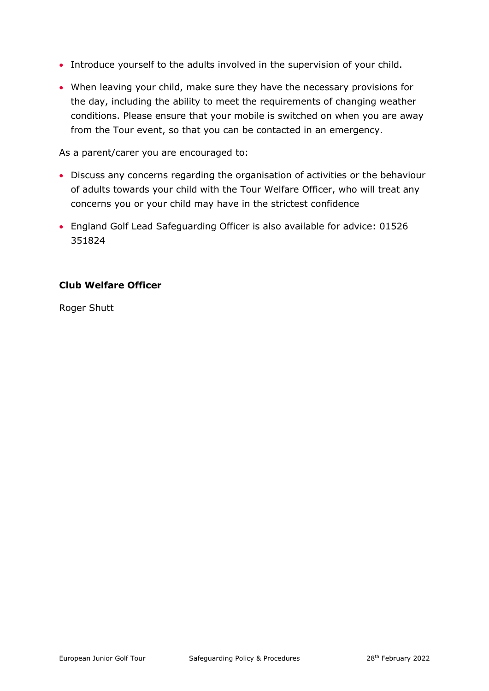- Introduce yourself to the adults involved in the supervision of your child.
- When leaving your child, make sure they have the necessary provisions for the day, including the ability to meet the requirements of changing weather conditions. Please ensure that your mobile is switched on when you are away from the Tour event, so that you can be contacted in an emergency.

As a parent/carer you are encouraged to:

- Discuss any concerns regarding the organisation of activities or the behaviour of adults towards your child with the Tour Welfare Officer, who will treat any concerns you or your child may have in the strictest confidence
- England Golf Lead Safeguarding Officer is also available for advice: 01526 351824

#### **Club Welfare Officer**

<span id="page-47-0"></span>Roger Shutt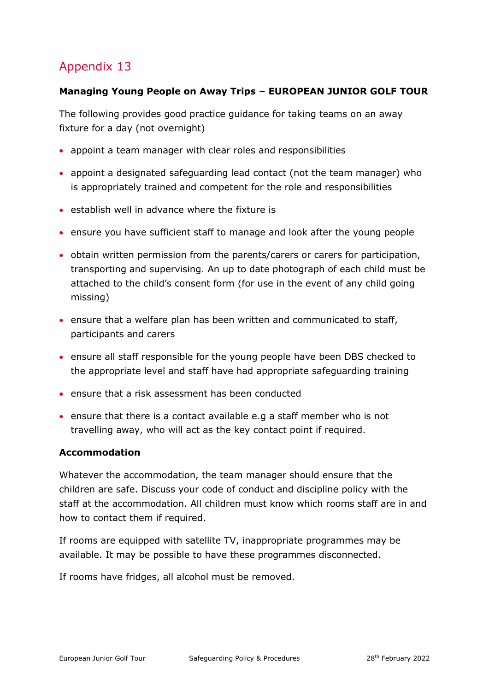#### **Managing Young People on Away Trips – EUROPEAN JUNIOR GOLF TOUR**

The following provides good practice guidance for taking teams on an away fixture for a day (not overnight)

- appoint a team manager with clear roles and responsibilities
- appoint a designated safeguarding lead contact (not the team manager) who is appropriately trained and competent for the role and responsibilities
- establish well in advance where the fixture is
- ensure you have sufficient staff to manage and look after the young people
- obtain written permission from the parents/carers or carers for participation, transporting and supervising. An up to date photograph of each child must be attached to the child's consent form (for use in the event of any child going missing)
- ensure that a welfare plan has been written and communicated to staff, participants and carers
- ensure all staff responsible for the young people have been DBS checked to the appropriate level and staff have had appropriate safeguarding training
- ensure that a risk assessment has been conducted
- ensure that there is a contact available e.g a staff member who is not travelling away, who will act as the key contact point if required.

#### **Accommodation**

Whatever the accommodation, the team manager should ensure that the children are safe. Discuss your code of conduct and discipline policy with the staff at the accommodation. All children must know which rooms staff are in and how to contact them if required.

If rooms are equipped with satellite TV, inappropriate programmes may be available. It may be possible to have these programmes disconnected.

If rooms have fridges, all alcohol must be removed.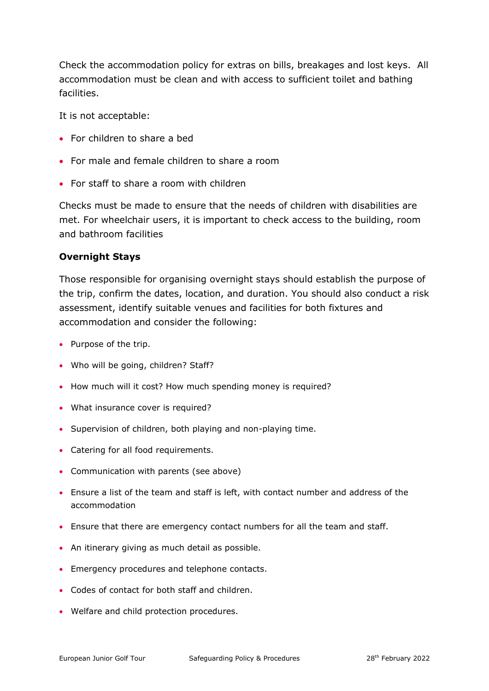Check the accommodation policy for extras on bills, breakages and lost keys. All accommodation must be clean and with access to sufficient toilet and bathing facilities.

It is not acceptable:

- For children to share a bed
- For male and female children to share a room
- For staff to share a room with children

Checks must be made to ensure that the needs of children with disabilities are met. For wheelchair users, it is important to check access to the building, room and bathroom facilities

#### **Overnight Stays**

Those responsible for organising overnight stays should establish the purpose of the trip, confirm the dates, location, and duration. You should also conduct a risk assessment, identify suitable venues and facilities for both fixtures and accommodation and consider the following:

- Purpose of the trip.
- Who will be going, children? Staff?
- How much will it cost? How much spending money is required?
- What insurance cover is required?
- Supervision of children, both playing and non-playing time.
- Catering for all food requirements.
- Communication with parents (see above)
- Ensure a list of the team and staff is left, with contact number and address of the accommodation
- Ensure that there are emergency contact numbers for all the team and staff.
- An itinerary giving as much detail as possible.
- Emergency procedures and telephone contacts.
- Codes of contact for both staff and children.
- <span id="page-49-0"></span>• Welfare and child protection procedures.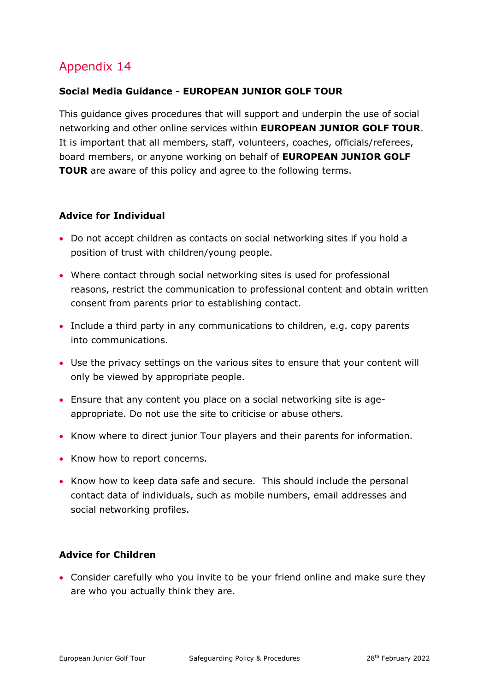#### **Social Media Guidance - EUROPEAN JUNIOR GOLF TOUR**

This guidance gives procedures that will support and underpin the use of social networking and other online services within **EUROPEAN JUNIOR GOLF TOUR**. It is important that all members, staff, volunteers, coaches, officials/referees, board members, or anyone working on behalf of **EUROPEAN JUNIOR GOLF TOUR** are aware of this policy and agree to the following terms.

#### **Advice for Individual**

- Do not accept children as contacts on social networking sites if you hold a position of trust with children/young people.
- Where contact through social networking sites is used for professional reasons, restrict the communication to professional content and obtain written consent from parents prior to establishing contact.
- Include a third party in any communications to children, e.g. copy parents into communications.
- Use the privacy settings on the various sites to ensure that your content will only be viewed by appropriate people.
- Ensure that any content you place on a social networking site is ageappropriate. Do not use the site to criticise or abuse others.
- Know where to direct junior Tour players and their parents for information.
- Know how to report concerns.
- Know how to keep data safe and secure. This should include the personal contact data of individuals, such as mobile numbers, email addresses and social networking profiles.

#### **Advice for Children**

• Consider carefully who you invite to be your friend online and make sure they are who you actually think they are.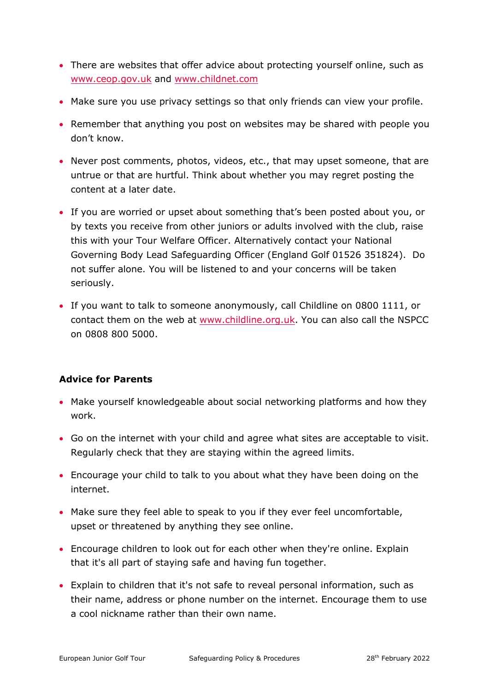- There are websites that offer advice about protecting yourself online, such as [www.ceop.gov.uk](http://www.ceop.gov.uk/) and [www.childnet.com](http://www.childnet.com/)
- Make sure you use privacy settings so that only friends can view your profile.
- Remember that anything you post on websites may be shared with people you don't know.
- Never post comments, photos, videos, etc., that may upset someone, that are untrue or that are hurtful. Think about whether you may regret posting the content at a later date.
- If you are worried or upset about something that's been posted about you, or by texts you receive from other juniors or adults involved with the club, raise this with your Tour Welfare Officer. Alternatively contact your National Governing Body Lead Safeguarding Officer (England Golf 01526 351824). Do not suffer alone. You will be listened to and your concerns will be taken seriously.
- If you want to talk to someone anonymously, call Childline on 0800 1111, or contact them on the web at [www.childline.org.uk.](http://www.childline.org.uk/) You can also call the NSPCC on 0808 800 5000.

#### **Advice for Parents**

- Make yourself knowledgeable about social networking platforms and how they work.
- Go on the internet with your child and agree what sites are acceptable to visit. Regularly check that they are staying within the agreed limits.
- Encourage your child to talk to you about what they have been doing on the internet.
- Make sure they feel able to speak to you if they ever feel uncomfortable, upset or threatened by anything they see online.
- Encourage children to look out for each other when they're online. Explain that it's all part of staying safe and having fun together.
- Explain to children that it's not safe to reveal personal information, such as their name, address or phone number on the internet. Encourage them to use a cool nickname rather than their own name.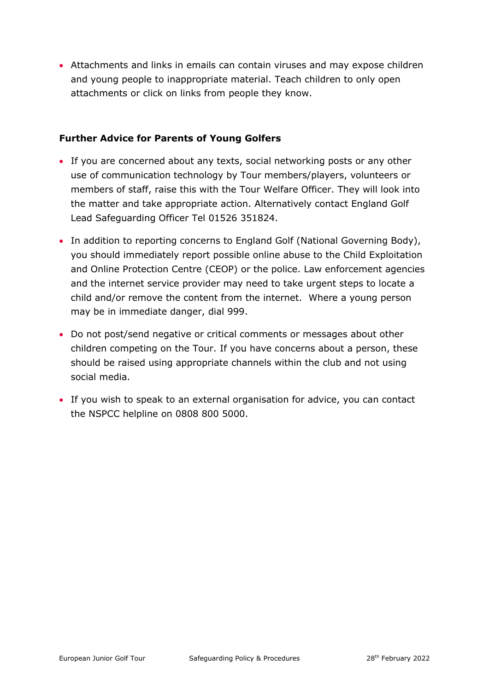• Attachments and links in emails can contain viruses and may expose children and young people to inappropriate material. Teach children to only open attachments or click on links from people they know.

#### **Further Advice for Parents of Young Golfers**

- If you are concerned about any texts, social networking posts or any other use of communication technology by Tour members/players, volunteers or members of staff, raise this with the Tour Welfare Officer. They will look into the matter and take appropriate action. Alternatively contact England Golf Lead Safeguarding Officer Tel 01526 351824.
- In addition to reporting concerns to England Golf (National Governing Body), you should immediately report possible online abuse to the Child Exploitation and Online Protection Centre (CEOP) or the police. Law enforcement agencies and the internet service provider may need to take urgent steps to locate a child and/or remove the content from the internet. Where a young person may be in immediate danger, dial 999.
- Do not post/send negative or critical comments or messages about other children competing on the Tour. If you have concerns about a person, these should be raised using appropriate channels within the club and not using social media.
- <span id="page-52-0"></span>• If you wish to speak to an external organisation for advice, you can contact the NSPCC helpline on 0808 800 5000.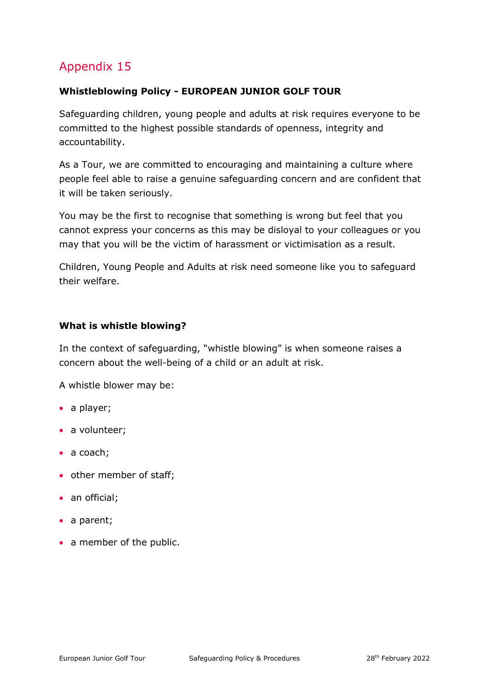#### **Whistleblowing Policy - EUROPEAN JUNIOR GOLF TOUR**

Safeguarding children, young people and adults at risk requires everyone to be committed to the highest possible standards of openness, integrity and accountability.

As a Tour, we are committed to encouraging and maintaining a culture where people feel able to raise a genuine safeguarding concern and are confident that it will be taken seriously.

You may be the first to recognise that something is wrong but feel that you cannot express your concerns as this may be disloyal to your colleagues or you may that you will be the victim of harassment or victimisation as a result.

Children, Young People and Adults at risk need someone like you to safeguard their welfare.

#### **What is whistle blowing?**

In the context of safeguarding, "whistle blowing" is when someone raises a concern about the well-being of a child or an adult at risk.

A whistle blower may be:

- a player;
- a volunteer;
- a coach;
- other member of staff;
- an official;
- a parent;
- a member of the public.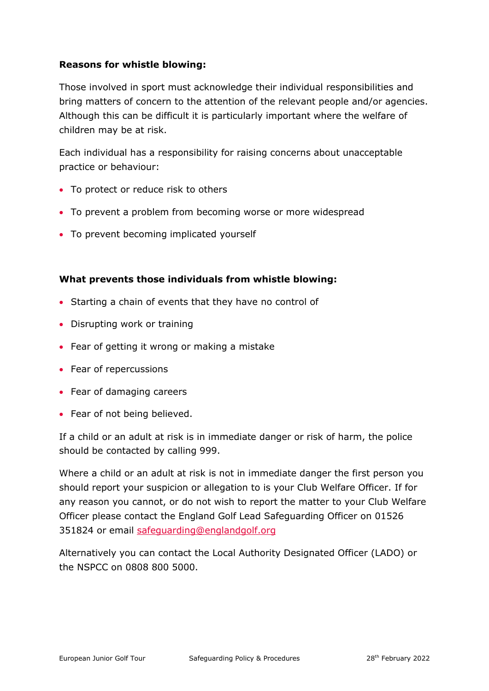#### **Reasons for whistle blowing:**

Those involved in sport must acknowledge their individual responsibilities and bring matters of concern to the attention of the relevant people and/or agencies. Although this can be difficult it is particularly important where the welfare of children may be at risk.

Each individual has a responsibility for raising concerns about unacceptable practice or behaviour:

- To protect or reduce risk to others
- To prevent a problem from becoming worse or more widespread
- To prevent becoming implicated yourself

#### **What prevents those individuals from whistle blowing:**

- Starting a chain of events that they have no control of
- Disrupting work or training
- Fear of getting it wrong or making a mistake
- Fear of repercussions
- Fear of damaging careers
- Fear of not being believed.

If a child or an adult at risk is in immediate danger or risk of harm, the police should be contacted by calling 999.

Where a child or an adult at risk is not in immediate danger the first person you should report your suspicion or allegation to is your Club Welfare Officer. If for any reason you cannot, or do not wish to report the matter to your Club Welfare Officer please contact the England Golf Lead Safeguarding Officer on 01526 351824 or email [safeguarding@englandgolf.org](mailto:safeguarding@englandgolf.org)

Alternatively you can contact the Local Authority Designated Officer (LADO) or the NSPCC on 0808 800 5000.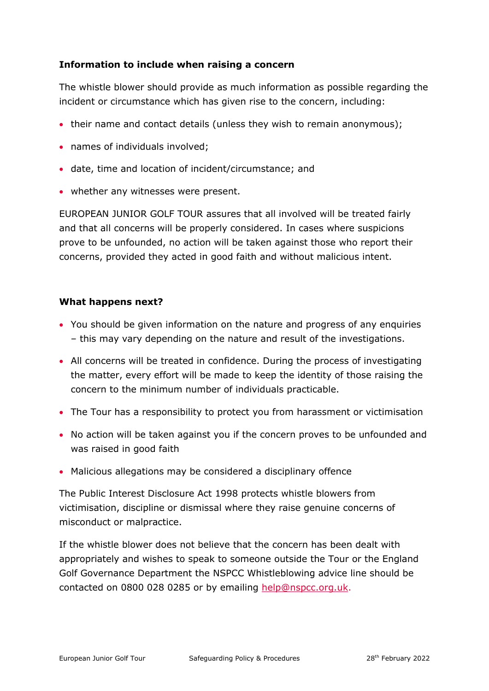#### **Information to include when raising a concern**

The whistle blower should provide as much information as possible regarding the incident or circumstance which has given rise to the concern, including:

- their name and contact details (unless they wish to remain anonymous);
- names of individuals involved;
- date, time and location of incident/circumstance; and
- whether any witnesses were present.

EUROPEAN JUNIOR GOLF TOUR assures that all involved will be treated fairly and that all concerns will be properly considered. In cases where suspicions prove to be unfounded, no action will be taken against those who report their concerns, provided they acted in good faith and without malicious intent.

#### **What happens next?**

- You should be given information on the nature and progress of any enquiries – this may vary depending on the nature and result of the investigations.
- All concerns will be treated in confidence. During the process of investigating the matter, every effort will be made to keep the identity of those raising the concern to the minimum number of individuals practicable.
- The Tour has a responsibility to protect you from harassment or victimisation
- No action will be taken against you if the concern proves to be unfounded and was raised in good faith
- Malicious allegations may be considered a disciplinary offence

The Public Interest Disclosure Act 1998 protects whistle blowers from victimisation, discipline or dismissal where they raise genuine concerns of misconduct or malpractice.

If the whistle blower does not believe that the concern has been dealt with appropriately and wishes to speak to someone outside the Tour or the England Golf Governance Department the NSPCC Whistleblowing advice line should be contacted on 0800 028 0285 or by emailing [help@nspcc.org.uk.](mailto:help@nspcc.org.uk)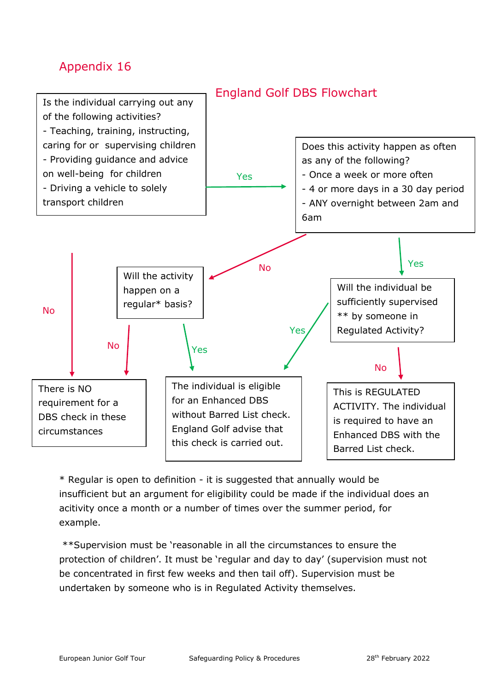<span id="page-56-0"></span>

\* Regular is open to definition - it is suggested that annually would be insufficient but an argument for eligibility could be made if the individual does an acitivity once a month or a number of times over the summer period, for example.

\*\*Supervision must be 'reasonable in all the circumstances to ensure the protection of children'. It must be 'regular and day to day' (supervision must not be concentrated in first few weeks and then tail off). Supervision must be undertaken by someone who is in Regulated Activity themselves.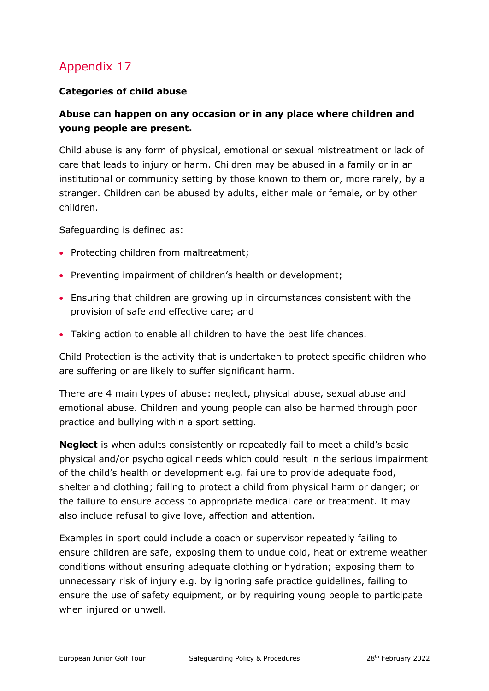#### **Categories of child abuse**

#### **Abuse can happen on any occasion or in any place where children and young people are present.**

Child abuse is any form of physical, emotional or sexual mistreatment or lack of care that leads to injury or harm. Children may be abused in a family or in an institutional or community setting by those known to them or, more rarely, by a stranger. Children can be abused by adults, either male or female, or by other children.

Safeguarding is defined as:

- Protecting children from maltreatment;
- Preventing impairment of children's health or development;
- Ensuring that children are growing up in circumstances consistent with the provision of safe and effective care; and
- Taking action to enable all children to have the best life chances.

Child Protection is the activity that is undertaken to protect specific children who are suffering or are likely to suffer significant harm.

There are 4 main types of abuse: neglect, physical abuse, sexual abuse and emotional abuse. Children and young people can also be harmed through poor practice and bullying within a sport setting.

**Neglect** is when adults consistently or repeatedly fail to meet a child's basic physical and/or psychological needs which could result in the serious impairment of the child's health or development e.g. failure to provide adequate food, shelter and clothing; failing to protect a child from physical harm or danger; or the failure to ensure access to appropriate medical care or treatment. It may also include refusal to give love, affection and attention.

Examples in sport could include a coach or supervisor repeatedly failing to ensure children are safe, exposing them to undue cold, heat or extreme weather conditions without ensuring adequate clothing or hydration; exposing them to unnecessary risk of injury e.g. by ignoring safe practice guidelines, failing to ensure the use of safety equipment, or by requiring young people to participate when injured or unwell.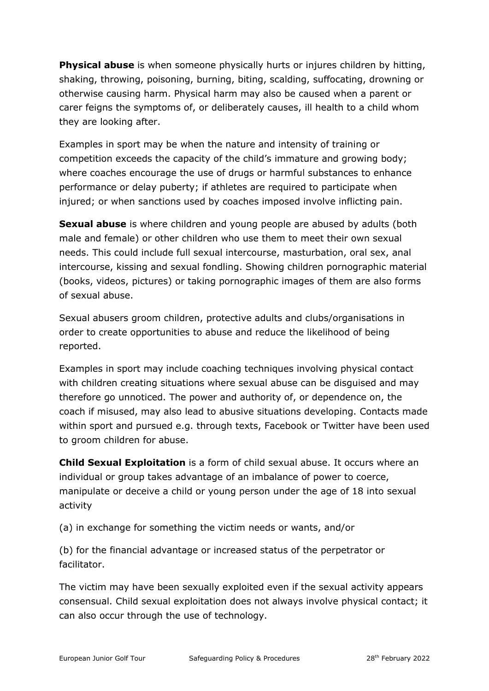**Physical abuse** is when someone physically hurts or injures children by hitting, shaking, throwing, poisoning, burning, biting, scalding, suffocating, drowning or otherwise causing harm. Physical harm may also be caused when a parent or carer feigns the symptoms of, or deliberately causes, ill health to a child whom they are looking after.

Examples in sport may be when the nature and intensity of training or competition exceeds the capacity of the child's immature and growing body; where coaches encourage the use of drugs or harmful substances to enhance performance or delay puberty; if athletes are required to participate when injured; or when sanctions used by coaches imposed involve inflicting pain.

**Sexual abuse** is where children and young people are abused by adults (both male and female) or other children who use them to meet their own sexual needs. This could include full sexual intercourse, masturbation, oral sex, anal intercourse, kissing and sexual fondling. Showing children pornographic material (books, videos, pictures) or taking pornographic images of them are also forms of sexual abuse.

Sexual abusers groom children, protective adults and clubs/organisations in order to create opportunities to abuse and reduce the likelihood of being reported.

Examples in sport may include coaching techniques involving physical contact with children creating situations where sexual abuse can be disguised and may therefore go unnoticed. The power and authority of, or dependence on, the coach if misused, may also lead to abusive situations developing. Contacts made within sport and pursued e.g. through texts, Facebook or Twitter have been used to groom children for abuse.

**Child Sexual Exploitation** is a form of child sexual abuse. It occurs where an individual or group takes advantage of an imbalance of power to coerce, manipulate or deceive a child or young person under the age of 18 into sexual activity

(a) in exchange for something the victim needs or wants, and/or

(b) for the financial advantage or increased status of the perpetrator or facilitator.

The victim may have been sexually exploited even if the sexual activity appears consensual. Child sexual exploitation does not always involve physical contact; it can also occur through the use of technology.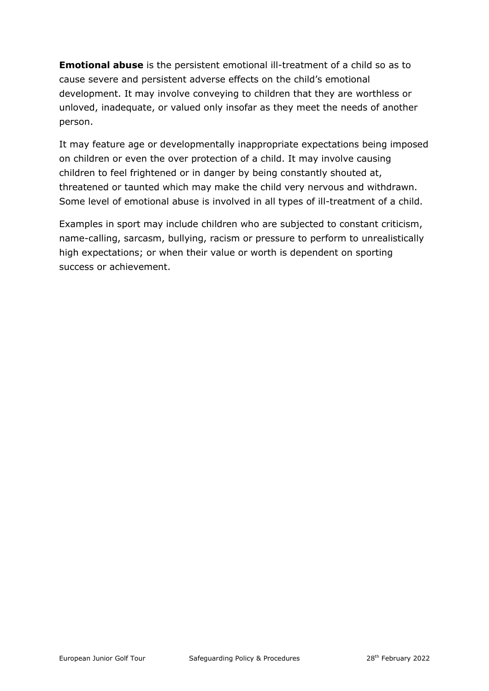**Emotional abuse** is the persistent emotional ill-treatment of a child so as to cause severe and persistent adverse effects on the child's emotional development. It may involve conveying to children that they are worthless or unloved, inadequate, or valued only insofar as they meet the needs of another person.

It may feature age or developmentally inappropriate expectations being imposed on children or even the over protection of a child. It may involve causing children to feel frightened or in danger by being constantly shouted at, threatened or taunted which may make the child very nervous and withdrawn. Some level of emotional abuse is involved in all types of ill-treatment of a child.

Examples in sport may include children who are subjected to constant criticism, name-calling, sarcasm, bullying, racism or pressure to perform to unrealistically high expectations; or when their value or worth is dependent on sporting success or achievement.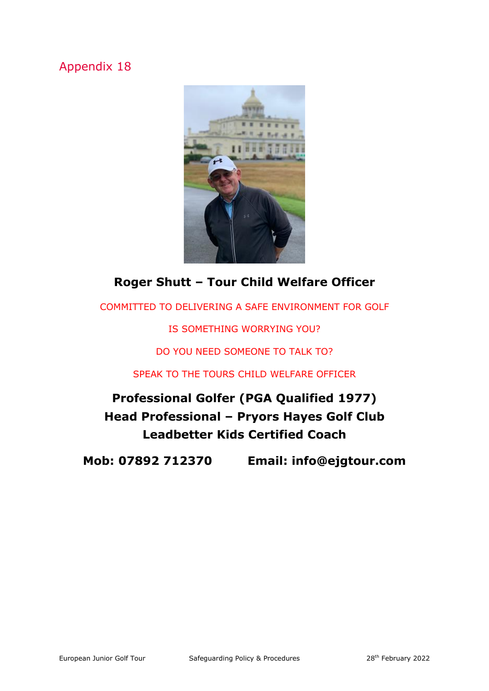<span id="page-60-0"></span>

## **Roger Shutt – Tour Child Welfare Officer**

COMMITTED TO DELIVERING A SAFE ENVIRONMENT FOR GOLF

IS SOMETHING WORRYING YOU?

DO YOU NEED SOMEONE TO TALK TO?

SPEAK TO THE TOURS CHILD WELFARE OFFICER

**Professional Golfer (PGA Qualified 1977) Head Professional – Pryors Hayes Golf Club Leadbetter Kids Certified Coach**

**Mob: 07892 712370 Email: info@ejgtour.com**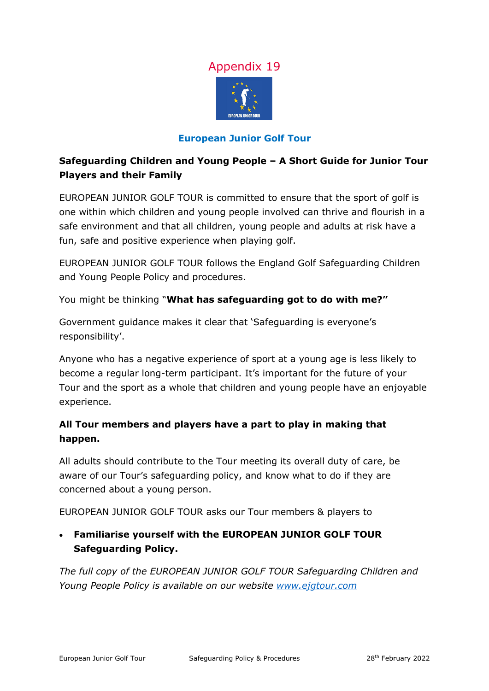

#### **European Junior Golf Tour**

#### <span id="page-61-0"></span>**Safeguarding Children and Young People – A Short Guide for Junior Tour Players and their Family**

EUROPEAN JUNIOR GOLF TOUR is committed to ensure that the sport of golf is one within which children and young people involved can thrive and flourish in a safe environment and that all children, young people and adults at risk have a fun, safe and positive experience when playing golf.

EUROPEAN JUNIOR GOLF TOUR follows the England Golf Safeguarding Children and Young People Policy and procedures.

You might be thinking "**What has safeguarding got to do with me?"**

Government guidance makes it clear that 'Safeguarding is everyone's responsibility'.

Anyone who has a negative experience of sport at a young age is less likely to become a regular long-term participant. It's important for the future of your Tour and the sport as a whole that children and young people have an enjoyable experience.

#### **All Tour members and players have a part to play in making that happen.**

All adults should contribute to the Tour meeting its overall duty of care, be aware of our Tour's safeguarding policy, and know what to do if they are concerned about a young person.

EUROPEAN JUNIOR GOLF TOUR asks our Tour members & players to

• **Familiarise yourself with the EUROPEAN JUNIOR GOLF TOUR Safeguarding Policy.** 

*The full copy of the EUROPEAN JUNIOR GOLF TOUR Safeguarding Children and Young People Policy is available on our website [www.ejgtour.com](http://www.ejgtour.com/)*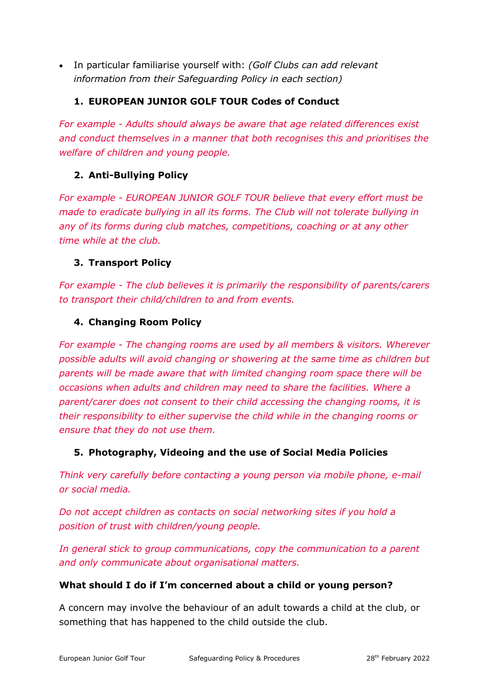• In particular familiarise yourself with: *(Golf Clubs can add relevant information from their Safeguarding Policy in each section)*

#### **1. EUROPEAN JUNIOR GOLF TOUR Codes of Conduct**

*For example - Adults should always be aware that age related differences exist and conduct themselves in a manner that both recognises this and prioritises the welfare of children and young people.*

#### **2. Anti-Bullying Policy**

*For example - EUROPEAN JUNIOR GOLF TOUR believe that every effort must be made to eradicate bullying in all its forms. The Club will not tolerate bullying in any of its forms during club matches, competitions, coaching or at any other time while at the club.*

#### **3. Transport Policy**

*For example - The club believes it is primarily the responsibility of parents/carers to transport their child/children to and from events.*

#### **4. Changing Room Policy**

*For example - The changing rooms are used by all members & visitors. Wherever possible adults will avoid changing or showering at the same time as children but parents will be made aware that with limited changing room space there will be occasions when adults and children may need to share the facilities. Where a parent/carer does not consent to their child accessing the changing rooms, it is their responsibility to either supervise the child while in the changing rooms or ensure that they do not use them.* 

#### **5. Photography, Videoing and the use of Social Media Policies**

*Think very carefully before contacting a young person via mobile phone, e-mail or social media.* 

*Do not accept children as contacts on social networking sites if you hold a position of trust with children/young people.*

*In general stick to group communications, copy the communication to a parent and only communicate about organisational matters.*

#### **What should I do if I'm concerned about a child or young person?**

A concern may involve the behaviour of an adult towards a child at the club, or something that has happened to the child outside the club.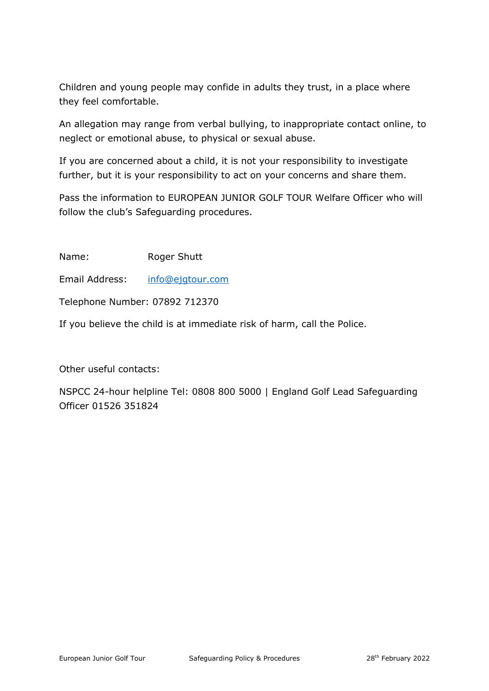Children and young people may confide in adults they trust, in a place where they feel comfortable.

An allegation may range from verbal bullying, to inappropriate contact online, to neglect or emotional abuse, to physical or sexual abuse.

If you are concerned about a child, it is not your responsibility to investigate further, but it is your responsibility to act on your concerns and share them.

Pass the information to EUROPEAN JUNIOR GOLF TOUR Welfare Officer who will follow the club's Safeguarding procedures.

Name: Roger Shutt

Email Address: [info@ejgtour.com](mailto:info@ejgtour.com)

Telephone Number: 07892 712370

If you believe the child is at immediate risk of harm, call the Police.

Other useful contacts:

NSPCC 24-hour helpline Tel: 0808 800 5000 | England Golf Lead Safeguarding Officer 01526 351824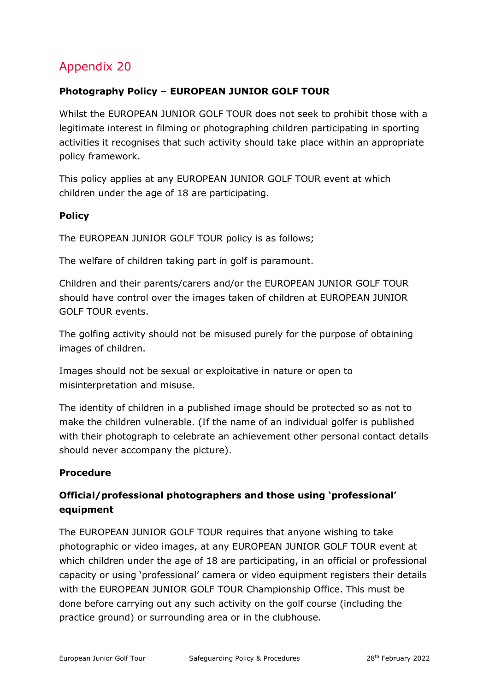#### <span id="page-64-0"></span>**Photography Policy – EUROPEAN JUNIOR GOLF TOUR**

Whilst the EUROPEAN JUNIOR GOLF TOUR does not seek to prohibit those with a legitimate interest in filming or photographing children participating in sporting activities it recognises that such activity should take place within an appropriate policy framework.

This policy applies at any EUROPEAN JUNIOR GOLF TOUR event at which children under the age of 18 are participating.

#### **Policy**

The EUROPEAN JUNIOR GOLF TOUR policy is as follows;

The welfare of children taking part in golf is paramount.

Children and their parents/carers and/or the EUROPEAN JUNIOR GOLF TOUR should have control over the images taken of children at EUROPEAN JUNIOR GOLF TOUR events.

The golfing activity should not be misused purely for the purpose of obtaining images of children.

Images should not be sexual or exploitative in nature or open to misinterpretation and misuse.

The identity of children in a published image should be protected so as not to make the children vulnerable. (If the name of an individual golfer is published with their photograph to celebrate an achievement other personal contact details should never accompany the picture).

#### **Procedure**

#### **Official/professional photographers and those using 'professional' equipment**

The EUROPEAN JUNIOR GOLF TOUR requires that anyone wishing to take photographic or video images, at any EUROPEAN JUNIOR GOLF TOUR event at which children under the age of 18 are participating, in an official or professional capacity or using 'professional' camera or video equipment registers their details with the EUROPEAN JUNIOR GOLF TOUR Championship Office. This must be done before carrying out any such activity on the golf course (including the practice ground) or surrounding area or in the clubhouse.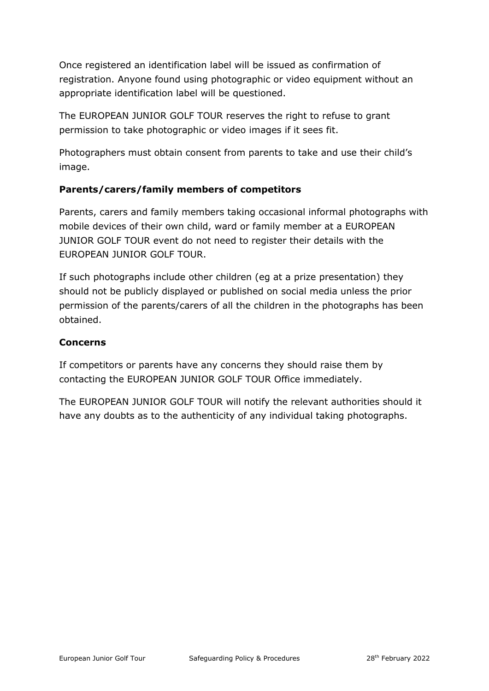Once registered an identification label will be issued as confirmation of registration. Anyone found using photographic or video equipment without an appropriate identification label will be questioned.

The EUROPEAN JUNIOR GOLF TOUR reserves the right to refuse to grant permission to take photographic or video images if it sees fit.

Photographers must obtain consent from parents to take and use their child's image.

#### **Parents/carers/family members of competitors**

Parents, carers and family members taking occasional informal photographs with mobile devices of their own child, ward or family member at a EUROPEAN JUNIOR GOLF TOUR event do not need to register their details with the EUROPEAN JUNIOR GOLF TOUR.

If such photographs include other children (eg at a prize presentation) they should not be publicly displayed or published on social media unless the prior permission of the parents/carers of all the children in the photographs has been obtained.

#### **Concerns**

If competitors or parents have any concerns they should raise them by contacting the EUROPEAN JUNIOR GOLF TOUR Office immediately.

The EUROPEAN JUNIOR GOLF TOUR will notify the relevant authorities should it have any doubts as to the authenticity of any individual taking photographs.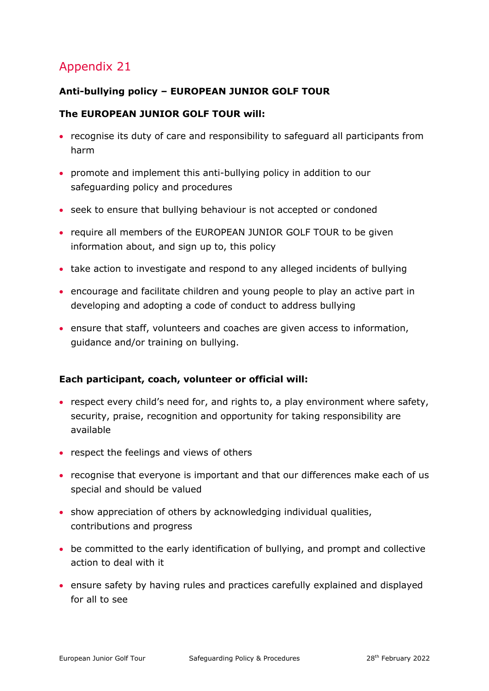#### <span id="page-66-0"></span>**Anti-bullying policy – EUROPEAN JUNIOR GOLF TOUR**

#### **The EUROPEAN JUNIOR GOLF TOUR will:**

- recognise its duty of care and responsibility to safeguard all participants from harm
- promote and implement this anti-bullying policy in addition to our safeguarding policy and procedures
- seek to ensure that bullying behaviour is not accepted or condoned
- require all members of the EUROPEAN JUNIOR GOLF TOUR to be given information about, and sign up to, this policy
- take action to investigate and respond to any alleged incidents of bullying
- encourage and facilitate children and young people to play an active part in developing and adopting a code of conduct to address bullying
- ensure that staff, volunteers and coaches are given access to information, guidance and/or training on bullying.

#### **Each participant, coach, volunteer or official will:**

- respect every child's need for, and rights to, a play environment where safety, security, praise, recognition and opportunity for taking responsibility are available
- respect the feelings and views of others
- recognise that everyone is important and that our differences make each of us special and should be valued
- show appreciation of others by acknowledging individual qualities, contributions and progress
- be committed to the early identification of bullying, and prompt and collective action to deal with it
- ensure safety by having rules and practices carefully explained and displayed for all to see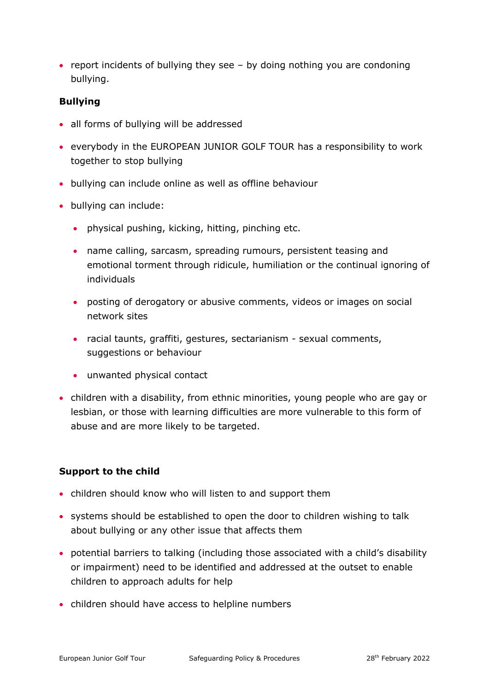• report incidents of bullying they see – by doing nothing you are condoning bullying.

#### **Bullying**

- all forms of bullying will be addressed
- everybody in the EUROPEAN JUNIOR GOLF TOUR has a responsibility to work together to stop bullying
- bullying can include online as well as offline behaviour
- bullying can include:
	- physical pushing, kicking, hitting, pinching etc.
	- name calling, sarcasm, spreading rumours, persistent teasing and emotional torment through ridicule, humiliation or the continual ignoring of individuals
	- posting of derogatory or abusive comments, videos or images on social network sites
	- racial taunts, graffiti, gestures, sectarianism sexual comments, suggestions or behaviour
	- unwanted physical contact
- children with a disability, from ethnic minorities, young people who are gay or lesbian, or those with learning difficulties are more vulnerable to this form of abuse and are more likely to be targeted.

#### **Support to the child**

- children should know who will listen to and support them
- systems should be established to open the door to children wishing to talk about bullying or any other issue that affects them
- potential barriers to talking (including those associated with a child's disability or impairment) need to be identified and addressed at the outset to enable children to approach adults for help
- children should have access to helpline numbers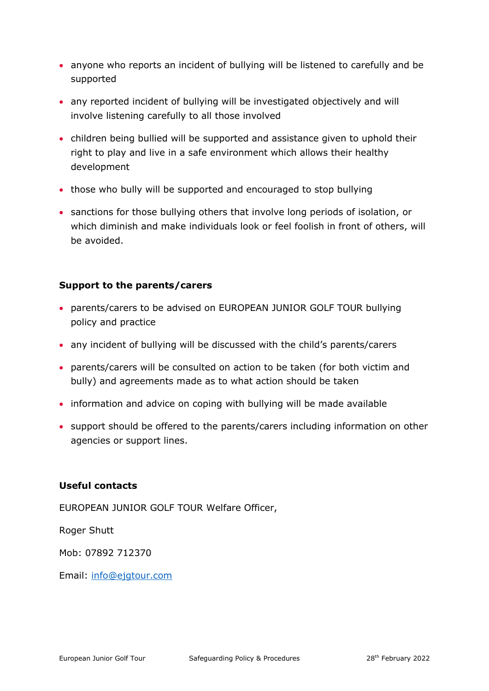- anyone who reports an incident of bullying will be listened to carefully and be supported
- any reported incident of bullying will be investigated objectively and will involve listening carefully to all those involved
- children being bullied will be supported and assistance given to uphold their right to play and live in a safe environment which allows their healthy development
- those who bully will be supported and encouraged to stop bullying
- sanctions for those bullying others that involve long periods of isolation, or which diminish and make individuals look or feel foolish in front of others, will be avoided.

#### **Support to the parents/carers**

- parents/carers to be advised on EUROPEAN JUNIOR GOLF TOUR bullying policy and practice
- any incident of bullying will be discussed with the child's parents/carers
- parents/carers will be consulted on action to be taken (for both victim and bully) and agreements made as to what action should be taken
- information and advice on coping with bullying will be made available
- support should be offered to the parents/carers including information on other agencies or support lines.

#### **Useful contacts**

EUROPEAN JUNIOR GOLF TOUR Welfare Officer,

Roger Shutt

Mob: 07892 712370

Email: [info@ejgtour.com](mailto:info@ejgtour.com)